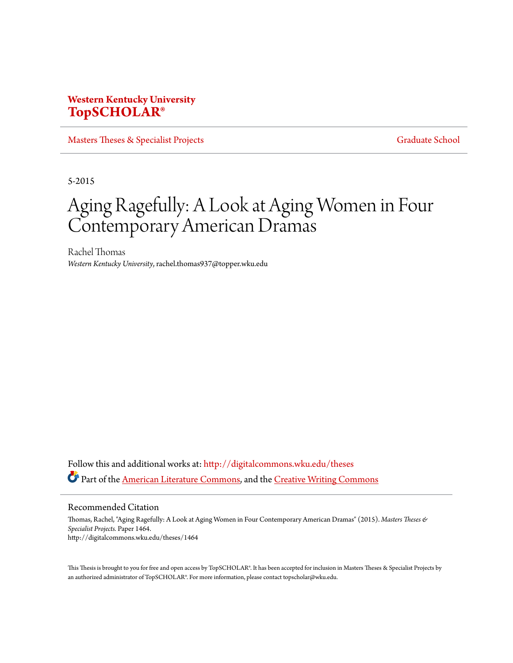# **Western Kentucky University [TopSCHOLAR®](http://digitalcommons.wku.edu?utm_source=digitalcommons.wku.edu%2Ftheses%2F1464&utm_medium=PDF&utm_campaign=PDFCoverPages)**

[Masters Theses & Specialist Projects](http://digitalcommons.wku.edu/theses?utm_source=digitalcommons.wku.edu%2Ftheses%2F1464&utm_medium=PDF&utm_campaign=PDFCoverPages) [Graduate School](http://digitalcommons.wku.edu/Graduate?utm_source=digitalcommons.wku.edu%2Ftheses%2F1464&utm_medium=PDF&utm_campaign=PDFCoverPages) Graduate School

5-2015

# Aging Ragefully: A Look at Aging Women in Four Contemporary American Dramas

Rachel Thomas *Western Kentucky University*, rachel.thomas937@topper.wku.edu

Follow this and additional works at: [http://digitalcommons.wku.edu/theses](http://digitalcommons.wku.edu/theses?utm_source=digitalcommons.wku.edu%2Ftheses%2F1464&utm_medium=PDF&utm_campaign=PDFCoverPages) Part of the [American Literature Commons,](http://network.bepress.com/hgg/discipline/441?utm_source=digitalcommons.wku.edu%2Ftheses%2F1464&utm_medium=PDF&utm_campaign=PDFCoverPages) and the [Creative Writing Commons](http://network.bepress.com/hgg/discipline/574?utm_source=digitalcommons.wku.edu%2Ftheses%2F1464&utm_medium=PDF&utm_campaign=PDFCoverPages)

Recommended Citation

Thomas, Rachel, "Aging Ragefully: A Look at Aging Women in Four Contemporary American Dramas" (2015). *Masters Theses & Specialist Projects.* Paper 1464. http://digitalcommons.wku.edu/theses/1464

This Thesis is brought to you for free and open access by TopSCHOLAR®. It has been accepted for inclusion in Masters Theses & Specialist Projects by an authorized administrator of TopSCHOLAR®. For more information, please contact topscholar@wku.edu.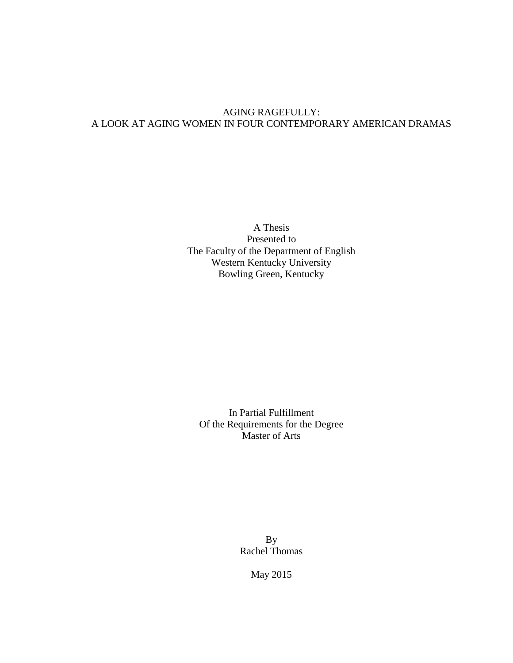## AGING RAGEFULLY: A LOOK AT AGING WOMEN IN FOUR CONTEMPORARY AMERICAN DRAMAS

A Thesis Presented to The Faculty of the Department of English Western Kentucky University Bowling Green, Kentucky

In Partial Fulfillment Of the Requirements for the Degree Master of Arts

> By Rachel Thomas

> > May 2015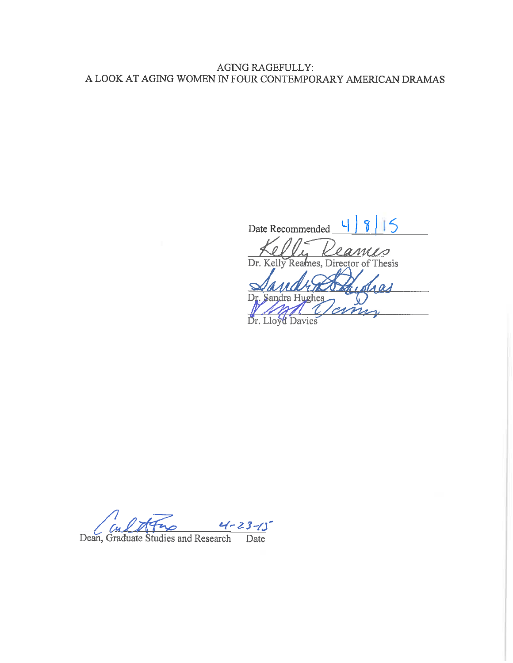## **AGING RAGEFULLY:** A LOOK AT AGING WOMEN IN FOUR CONTEMPORARY AMERICAN DRAMAS

15 Date Recommended Reames, Director of Dr. Kelly Thesis Dr. Lloy Davies ά

 $27 - 23 - 15$ <br>urch Date

Dean, Graduate Studies and Research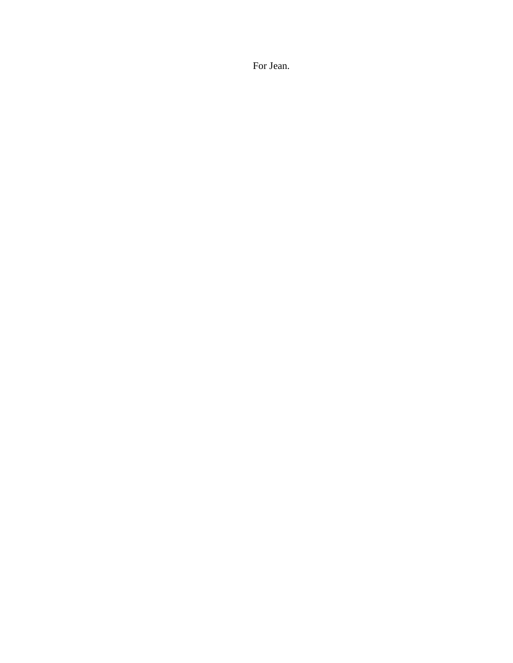For Jean.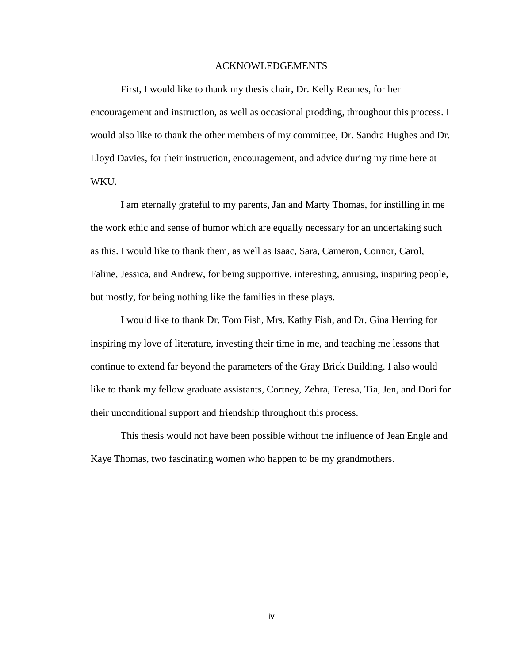#### ACKNOWLEDGEMENTS

First, I would like to thank my thesis chair, Dr. Kelly Reames, for her encouragement and instruction, as well as occasional prodding, throughout this process. I would also like to thank the other members of my committee, Dr. Sandra Hughes and Dr. Lloyd Davies, for their instruction, encouragement, and advice during my time here at WKU.

I am eternally grateful to my parents, Jan and Marty Thomas, for instilling in me the work ethic and sense of humor which are equally necessary for an undertaking such as this. I would like to thank them, as well as Isaac, Sara, Cameron, Connor, Carol, Faline, Jessica, and Andrew, for being supportive, interesting, amusing, inspiring people, but mostly, for being nothing like the families in these plays.

I would like to thank Dr. Tom Fish, Mrs. Kathy Fish, and Dr. Gina Herring for inspiring my love of literature, investing their time in me, and teaching me lessons that continue to extend far beyond the parameters of the Gray Brick Building. I also would like to thank my fellow graduate assistants, Cortney, Zehra, Teresa, Tia, Jen, and Dori for their unconditional support and friendship throughout this process.

This thesis would not have been possible without the influence of Jean Engle and Kaye Thomas, two fascinating women who happen to be my grandmothers.

iv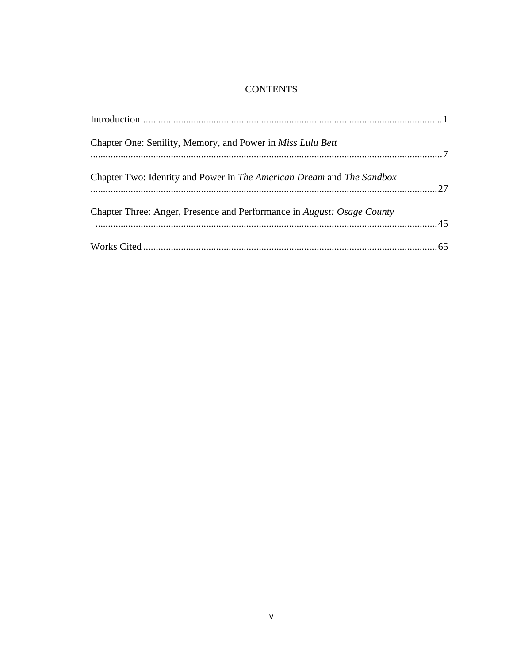## **CONTENTS**

| Chapter One: Senility, Memory, and Power in <i>Miss Lulu Bett</i>      |  |
|------------------------------------------------------------------------|--|
| Chapter Two: Identity and Power in The American Dream and The Sandbox  |  |
| Chapter Three: Anger, Presence and Performance in August: Osage County |  |
|                                                                        |  |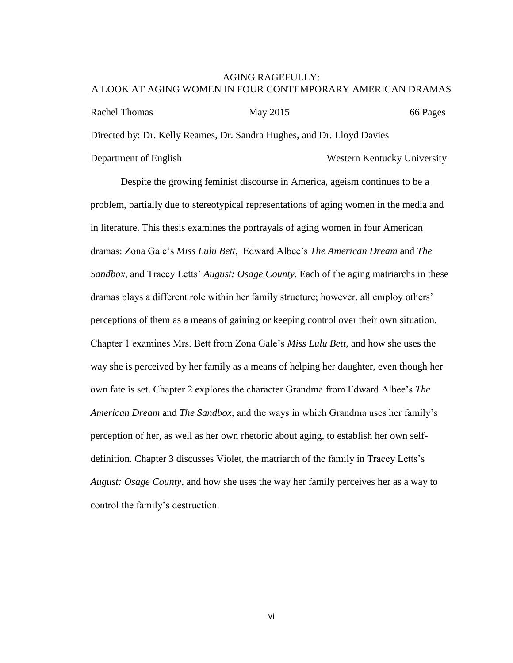### AGING RAGEFULLY: A LOOK AT AGING WOMEN IN FOUR CONTEMPORARY AMERICAN DRAMAS

Rachel Thomas May 2015 66 Pages Directed by: Dr. Kelly Reames, Dr. Sandra Hughes, and Dr. Lloyd Davies Department of English Western Kentucky University

Despite the growing feminist discourse in America, ageism continues to be a problem, partially due to stereotypical representations of aging women in the media and in literature. This thesis examines the portrayals of aging women in four American dramas: Zona Gale's *Miss Lulu Bett*, Edward Albee's *The American Dream* and *The Sandbox*, and Tracey Letts' *August: Osage County.* Each of the aging matriarchs in these dramas plays a different role within her family structure; however, all employ others' perceptions of them as a means of gaining or keeping control over their own situation. Chapter 1 examines Mrs. Bett from Zona Gale's *Miss Lulu Bett,* and how she uses the way she is perceived by her family as a means of helping her daughter, even though her own fate is set. Chapter 2 explores the character Grandma from Edward Albee's *The American Dream* and *The Sandbox,* and the ways in which Grandma uses her family's perception of her, as well as her own rhetoric about aging, to establish her own selfdefinition. Chapter 3 discusses Violet, the matriarch of the family in Tracey Letts's *August: Osage County*, and how she uses the way her family perceives her as a way to control the family's destruction.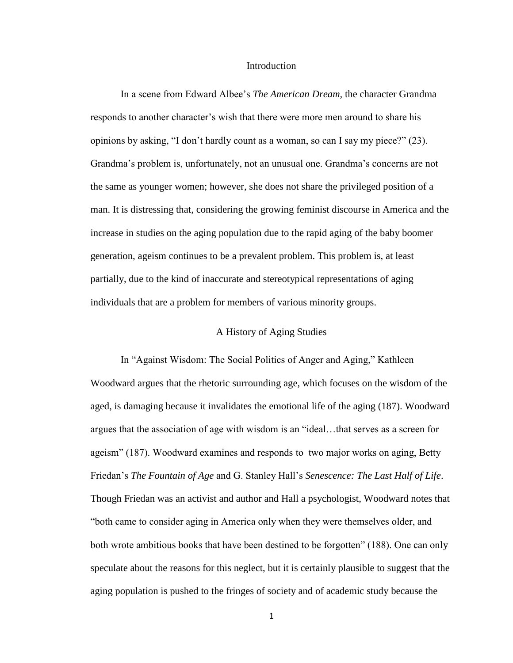#### Introduction

In a scene from Edward Albee's *The American Dream,* the character Grandma responds to another character's wish that there were more men around to share his opinions by asking, "I don't hardly count as a woman, so can I say my piece?" (23). Grandma's problem is, unfortunately, not an unusual one. Grandma's concerns are not the same as younger women; however, she does not share the privileged position of a man. It is distressing that, considering the growing feminist discourse in America and the increase in studies on the aging population due to the rapid aging of the baby boomer generation, ageism continues to be a prevalent problem. This problem is, at least partially, due to the kind of inaccurate and stereotypical representations of aging individuals that are a problem for members of various minority groups.

#### A History of Aging Studies

In "Against Wisdom: The Social Politics of Anger and Aging," Kathleen Woodward argues that the rhetoric surrounding age, which focuses on the wisdom of the aged, is damaging because it invalidates the emotional life of the aging (187). Woodward argues that the association of age with wisdom is an "ideal…that serves as a screen for ageism" (187). Woodward examines and responds to two major works on aging, Betty Friedan's *The Fountain of Age* and G. Stanley Hall's *Senescence: The Last Half of Life*. Though Friedan was an activist and author and Hall a psychologist, Woodward notes that "both came to consider aging in America only when they were themselves older, and both wrote ambitious books that have been destined to be forgotten" (188). One can only speculate about the reasons for this neglect, but it is certainly plausible to suggest that the aging population is pushed to the fringes of society and of academic study because the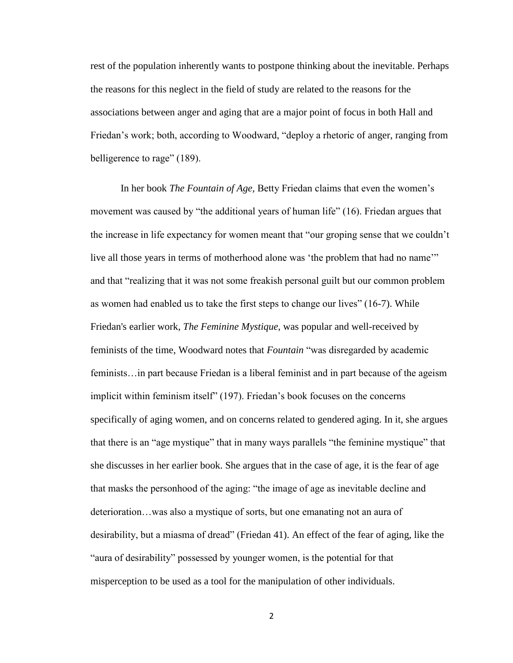rest of the population inherently wants to postpone thinking about the inevitable. Perhaps the reasons for this neglect in the field of study are related to the reasons for the associations between anger and aging that are a major point of focus in both Hall and Friedan's work; both, according to Woodward, "deploy a rhetoric of anger, ranging from belligerence to rage" (189).

In her book *The Fountain of Age,* Betty Friedan claims that even the women's movement was caused by "the additional years of human life" (16). Friedan argues that the increase in life expectancy for women meant that "our groping sense that we couldn't live all those years in terms of motherhood alone was 'the problem that had no name'" and that "realizing that it was not some freakish personal guilt but our common problem as women had enabled us to take the first steps to change our lives" (16-7). While Friedan's earlier work, *The Feminine Mystique*, was popular and well-received by feminists of the time*,* Woodward notes that *Fountain* "was disregarded by academic feminists…in part because Friedan is a liberal feminist and in part because of the ageism implicit within feminism itself" (197). Friedan's book focuses on the concerns specifically of aging women, and on concerns related to gendered aging. In it, she argues that there is an "age mystique" that in many ways parallels "the feminine mystique" that she discusses in her earlier book. She argues that in the case of age, it is the fear of age that masks the personhood of the aging: "the image of age as inevitable decline and deterioration…was also a mystique of sorts, but one emanating not an aura of desirability, but a miasma of dread" (Friedan 41). An effect of the fear of aging, like the "aura of desirability" possessed by younger women, is the potential for that misperception to be used as a tool for the manipulation of other individuals.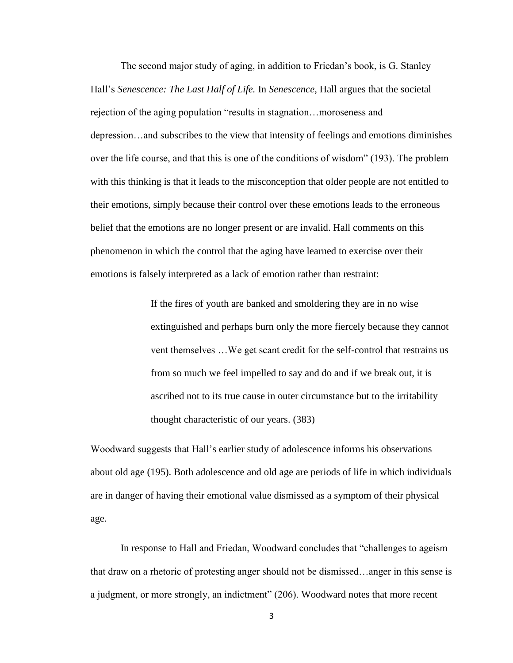The second major study of aging, in addition to Friedan's book, is G. Stanley Hall's *Senescence: The Last Half of Life.* In *Senescence*, Hall argues that the societal rejection of the aging population "results in stagnation…moroseness and depression…and subscribes to the view that intensity of feelings and emotions diminishes over the life course, and that this is one of the conditions of wisdom" (193). The problem with this thinking is that it leads to the misconception that older people are not entitled to their emotions, simply because their control over these emotions leads to the erroneous belief that the emotions are no longer present or are invalid. Hall comments on this phenomenon in which the control that the aging have learned to exercise over their emotions is falsely interpreted as a lack of emotion rather than restraint:

> If the fires of youth are banked and smoldering they are in no wise extinguished and perhaps burn only the more fiercely because they cannot vent themselves …We get scant credit for the self-control that restrains us from so much we feel impelled to say and do and if we break out, it is ascribed not to its true cause in outer circumstance but to the irritability thought characteristic of our years. (383)

Woodward suggests that Hall's earlier study of adolescence informs his observations about old age (195). Both adolescence and old age are periods of life in which individuals are in danger of having their emotional value dismissed as a symptom of their physical age.

In response to Hall and Friedan, Woodward concludes that "challenges to ageism that draw on a rhetoric of protesting anger should not be dismissed…anger in this sense is a judgment, or more strongly, an indictment" (206). Woodward notes that more recent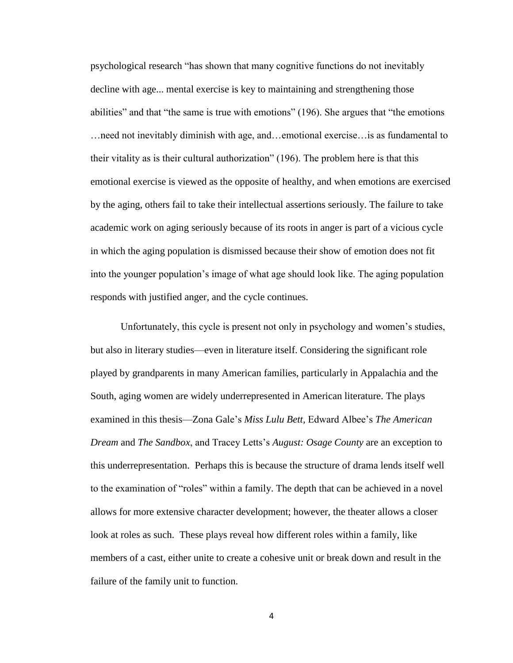psychological research "has shown that many cognitive functions do not inevitably decline with age... mental exercise is key to maintaining and strengthening those abilities" and that "the same is true with emotions" (196). She argues that "the emotions …need not inevitably diminish with age, and…emotional exercise…is as fundamental to their vitality as is their cultural authorization" (196). The problem here is that this emotional exercise is viewed as the opposite of healthy, and when emotions are exercised by the aging, others fail to take their intellectual assertions seriously. The failure to take academic work on aging seriously because of its roots in anger is part of a vicious cycle in which the aging population is dismissed because their show of emotion does not fit into the younger population's image of what age should look like. The aging population responds with justified anger, and the cycle continues.

Unfortunately, this cycle is present not only in psychology and women's studies, but also in literary studies—even in literature itself. Considering the significant role played by grandparents in many American families, particularly in Appalachia and the South, aging women are widely underrepresented in American literature. The plays examined in this thesis—Zona Gale's *Miss Lulu Bett,* Edward Albee's *The American Dream* and *The Sandbox*, and Tracey Letts's *August: Osage County* are an exception to this underrepresentation. Perhaps this is because the structure of drama lends itself well to the examination of "roles" within a family. The depth that can be achieved in a novel allows for more extensive character development; however, the theater allows a closer look at roles as such. These plays reveal how different roles within a family, like members of a cast, either unite to create a cohesive unit or break down and result in the failure of the family unit to function.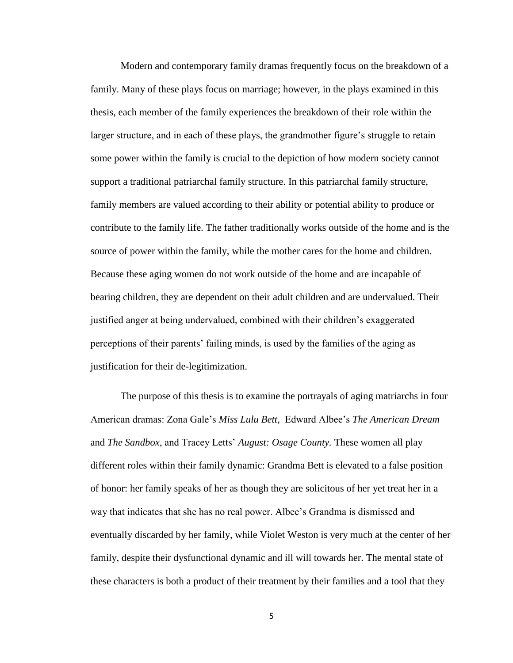Modern and contemporary family dramas frequently focus on the breakdown of a family. Many of these plays focus on marriage; however, in the plays examined in this thesis, each member of the family experiences the breakdown of their role within the larger structure, and in each of these plays, the grandmother figure's struggle to retain some power within the family is crucial to the depiction of how modern society cannot support a traditional patriarchal family structure. In this patriarchal family structure, family members are valued according to their ability or potential ability to produce or contribute to the family life. The father traditionally works outside of the home and is the source of power within the family, while the mother cares for the home and children. Because these aging women do not work outside of the home and are incapable of bearing children, they are dependent on their adult children and are undervalued. Their justified anger at being undervalued, combined with their children's exaggerated perceptions of their parents' failing minds, is used by the families of the aging as justification for their de-legitimization.

The purpose of this thesis is to examine the portrayals of aging matriarchs in four American dramas: Zona Gale's *Miss Lulu Bett*, Edward Albee's *The American Dream*  and *The Sandbox*, and Tracey Letts' *August: Osage County.* These women all play different roles within their family dynamic: Grandma Bett is elevated to a false position of honor: her family speaks of her as though they are solicitous of her yet treat her in a way that indicates that she has no real power. Albee's Grandma is dismissed and eventually discarded by her family, while Violet Weston is very much at the center of her family, despite their dysfunctional dynamic and ill will towards her. The mental state of these characters is both a product of their treatment by their families and a tool that they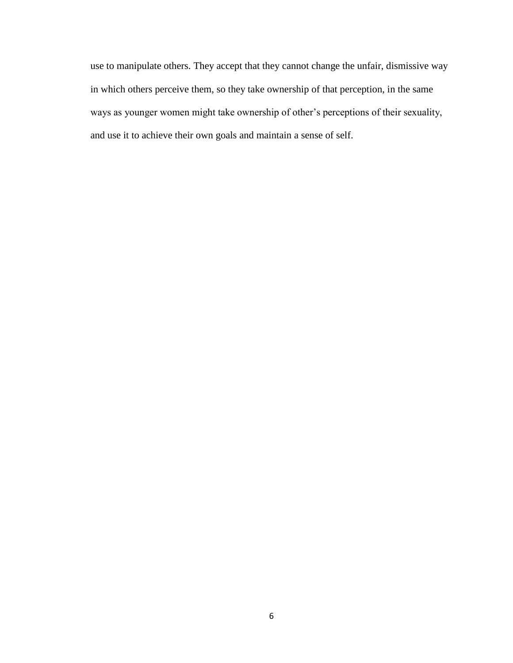use to manipulate others. They accept that they cannot change the unfair, dismissive way in which others perceive them, so they take ownership of that perception, in the same ways as younger women might take ownership of other's perceptions of their sexuality, and use it to achieve their own goals and maintain a sense of self.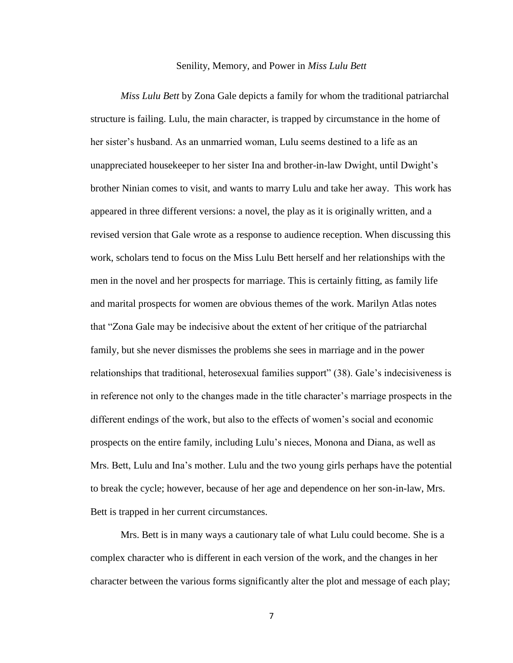#### Senility, Memory, and Power in *Miss Lulu Bett*

*Miss Lulu Bett* by Zona Gale depicts a family for whom the traditional patriarchal structure is failing. Lulu, the main character, is trapped by circumstance in the home of her sister's husband. As an unmarried woman, Lulu seems destined to a life as an unappreciated housekeeper to her sister Ina and brother-in-law Dwight, until Dwight's brother Ninian comes to visit, and wants to marry Lulu and take her away. This work has appeared in three different versions: a novel, the play as it is originally written, and a revised version that Gale wrote as a response to audience reception. When discussing this work, scholars tend to focus on the Miss Lulu Bett herself and her relationships with the men in the novel and her prospects for marriage. This is certainly fitting, as family life and marital prospects for women are obvious themes of the work. Marilyn Atlas notes that "Zona Gale may be indecisive about the extent of her critique of the patriarchal family, but she never dismisses the problems she sees in marriage and in the power relationships that traditional, heterosexual families support" (38). Gale's indecisiveness is in reference not only to the changes made in the title character's marriage prospects in the different endings of the work, but also to the effects of women's social and economic prospects on the entire family, including Lulu's nieces, Monona and Diana, as well as Mrs. Bett, Lulu and Ina's mother. Lulu and the two young girls perhaps have the potential to break the cycle; however, because of her age and dependence on her son-in-law, Mrs. Bett is trapped in her current circumstances.

Mrs. Bett is in many ways a cautionary tale of what Lulu could become. She is a complex character who is different in each version of the work, and the changes in her character between the various forms significantly alter the plot and message of each play;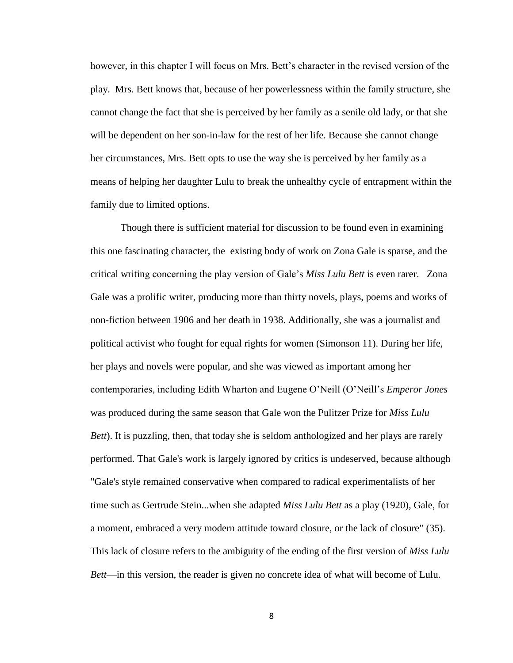however, in this chapter I will focus on Mrs. Bett's character in the revised version of the play. Mrs. Bett knows that, because of her powerlessness within the family structure, she cannot change the fact that she is perceived by her family as a senile old lady, or that she will be dependent on her son-in-law for the rest of her life. Because she cannot change her circumstances, Mrs. Bett opts to use the way she is perceived by her family as a means of helping her daughter Lulu to break the unhealthy cycle of entrapment within the family due to limited options.

Though there is sufficient material for discussion to be found even in examining this one fascinating character, the existing body of work on Zona Gale is sparse, and the critical writing concerning the play version of Gale's *Miss Lulu Bett* is even rarer. Zona Gale was a prolific writer, producing more than thirty novels, plays, poems and works of non-fiction between 1906 and her death in 1938. Additionally, she was a journalist and political activist who fought for equal rights for women (Simonson 11). During her life, her plays and novels were popular, and she was viewed as important among her contemporaries, including Edith Wharton and Eugene O'Neill (O'Neill's *Emperor Jones*  was produced during the same season that Gale won the Pulitzer Prize for *Miss Lulu Bett*). It is puzzling, then, that today she is seldom anthologized and her plays are rarely performed. That Gale's work is largely ignored by critics is undeserved, because although "Gale's style remained conservative when compared to radical experimentalists of her time such as Gertrude Stein...when she adapted *Miss Lulu Bett* as a play (1920), Gale, for a moment, embraced a very modern attitude toward closure, or the lack of closure" (35). This lack of closure refers to the ambiguity of the ending of the first version of *Miss Lulu Bett*—in this version, the reader is given no concrete idea of what will become of Lulu.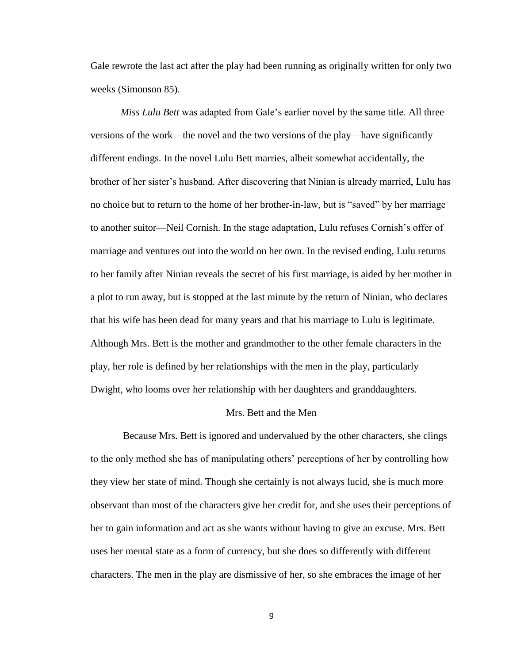Gale rewrote the last act after the play had been running as originally written for only two weeks (Simonson 85).

*Miss Lulu Bett* was adapted from Gale's earlier novel by the same title. All three versions of the work—the novel and the two versions of the play—have significantly different endings. In the novel Lulu Bett marries, albeit somewhat accidentally, the brother of her sister's husband. After discovering that Ninian is already married, Lulu has no choice but to return to the home of her brother-in-law, but is "saved" by her marriage to another suitor—Neil Cornish. In the stage adaptation, Lulu refuses Cornish's offer of marriage and ventures out into the world on her own. In the revised ending, Lulu returns to her family after Ninian reveals the secret of his first marriage, is aided by her mother in a plot to run away, but is stopped at the last minute by the return of Ninian, who declares that his wife has been dead for many years and that his marriage to Lulu is legitimate. Although Mrs. Bett is the mother and grandmother to the other female characters in the play, her role is defined by her relationships with the men in the play, particularly Dwight, who looms over her relationship with her daughters and granddaughters.

#### Mrs. Bett and the Men

 Because Mrs. Bett is ignored and undervalued by the other characters, she clings to the only method she has of manipulating others' perceptions of her by controlling how they view her state of mind. Though she certainly is not always lucid, she is much more observant than most of the characters give her credit for, and she uses their perceptions of her to gain information and act as she wants without having to give an excuse. Mrs. Bett uses her mental state as a form of currency, but she does so differently with different characters. The men in the play are dismissive of her, so she embraces the image of her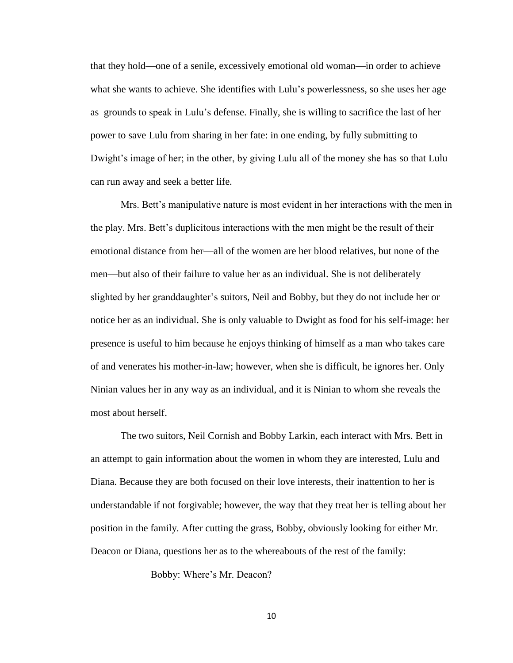that they hold—one of a senile, excessively emotional old woman—in order to achieve what she wants to achieve. She identifies with Lulu's powerlessness, so she uses her age as grounds to speak in Lulu's defense. Finally, she is willing to sacrifice the last of her power to save Lulu from sharing in her fate: in one ending, by fully submitting to Dwight's image of her; in the other, by giving Lulu all of the money she has so that Lulu can run away and seek a better life.

Mrs. Bett's manipulative nature is most evident in her interactions with the men in the play. Mrs. Bett's duplicitous interactions with the men might be the result of their emotional distance from her—all of the women are her blood relatives, but none of the men—but also of their failure to value her as an individual. She is not deliberately slighted by her granddaughter's suitors, Neil and Bobby, but they do not include her or notice her as an individual. She is only valuable to Dwight as food for his self-image: her presence is useful to him because he enjoys thinking of himself as a man who takes care of and venerates his mother-in-law; however, when she is difficult, he ignores her. Only Ninian values her in any way as an individual, and it is Ninian to whom she reveals the most about herself.

The two suitors, Neil Cornish and Bobby Larkin, each interact with Mrs. Bett in an attempt to gain information about the women in whom they are interested, Lulu and Diana. Because they are both focused on their love interests, their inattention to her is understandable if not forgivable; however, the way that they treat her is telling about her position in the family. After cutting the grass, Bobby, obviously looking for either Mr. Deacon or Diana, questions her as to the whereabouts of the rest of the family:

Bobby: Where's Mr. Deacon?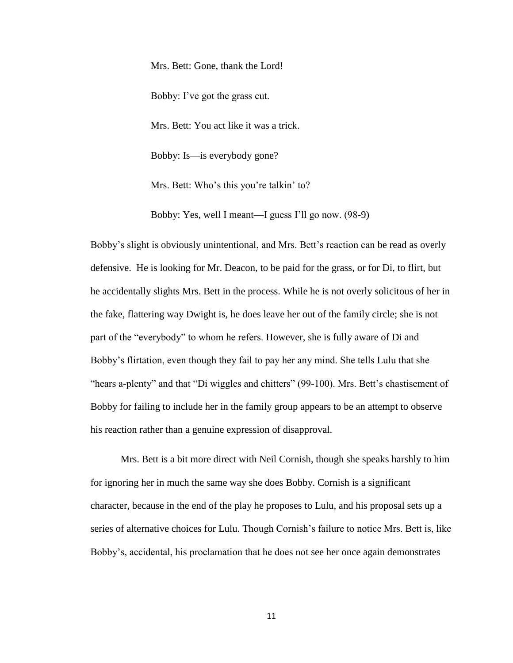Mrs. Bett: Gone, thank the Lord! Bobby: I've got the grass cut. Mrs. Bett: You act like it was a trick. Bobby: Is—is everybody gone? Mrs. Bett: Who's this you're talkin' to?

Bobby: Yes, well I meant—I guess I'll go now. (98-9)

Bobby's slight is obviously unintentional, and Mrs. Bett's reaction can be read as overly defensive. He is looking for Mr. Deacon, to be paid for the grass, or for Di, to flirt, but he accidentally slights Mrs. Bett in the process. While he is not overly solicitous of her in the fake, flattering way Dwight is, he does leave her out of the family circle; she is not part of the "everybody" to whom he refers. However, she is fully aware of Di and Bobby's flirtation, even though they fail to pay her any mind. She tells Lulu that she "hears a-plenty" and that "Di wiggles and chitters" (99-100). Mrs. Bett's chastisement of Bobby for failing to include her in the family group appears to be an attempt to observe his reaction rather than a genuine expression of disapproval.

Mrs. Bett is a bit more direct with Neil Cornish, though she speaks harshly to him for ignoring her in much the same way she does Bobby. Cornish is a significant character, because in the end of the play he proposes to Lulu, and his proposal sets up a series of alternative choices for Lulu. Though Cornish's failure to notice Mrs. Bett is, like Bobby's, accidental, his proclamation that he does not see her once again demonstrates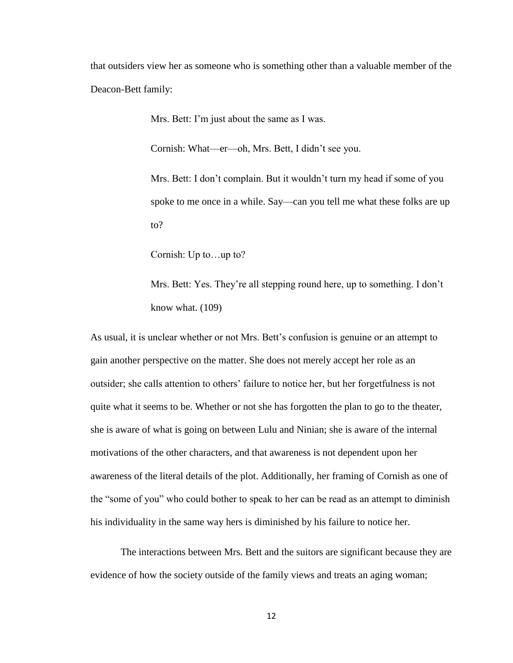that outsiders view her as someone who is something other than a valuable member of the Deacon-Bett family:

Mrs. Bett: I'm just about the same as I was.

Cornish: What—er—oh, Mrs. Bett, I didn't see you.

Mrs. Bett: I don't complain. But it wouldn't turn my head if some of you spoke to me once in a while. Say—can you tell me what these folks are up to?

Cornish: Up to…up to?

Mrs. Bett: Yes. They're all stepping round here, up to something. I don't know what. (109)

As usual, it is unclear whether or not Mrs. Bett's confusion is genuine or an attempt to gain another perspective on the matter. She does not merely accept her role as an outsider; she calls attention to others' failure to notice her, but her forgetfulness is not quite what it seems to be. Whether or not she has forgotten the plan to go to the theater, she is aware of what is going on between Lulu and Ninian; she is aware of the internal motivations of the other characters, and that awareness is not dependent upon her awareness of the literal details of the plot. Additionally, her framing of Cornish as one of the "some of you" who could bother to speak to her can be read as an attempt to diminish his individuality in the same way hers is diminished by his failure to notice her.

The interactions between Mrs. Bett and the suitors are significant because they are evidence of how the society outside of the family views and treats an aging woman;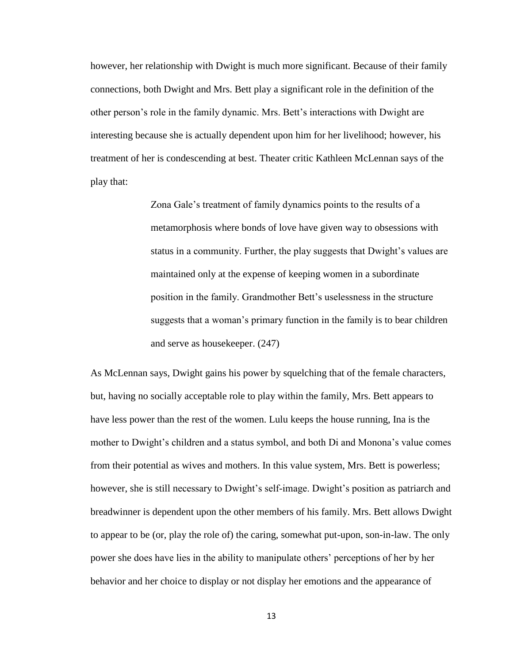however, her relationship with Dwight is much more significant. Because of their family connections, both Dwight and Mrs. Bett play a significant role in the definition of the other person's role in the family dynamic. Mrs. Bett's interactions with Dwight are interesting because she is actually dependent upon him for her livelihood; however, his treatment of her is condescending at best. Theater critic Kathleen McLennan says of the play that:

> Zona Gale's treatment of family dynamics points to the results of a metamorphosis where bonds of love have given way to obsessions with status in a community. Further, the play suggests that Dwight's values are maintained only at the expense of keeping women in a subordinate position in the family. Grandmother Bett's uselessness in the structure suggests that a woman's primary function in the family is to bear children and serve as housekeeper. (247)

As McLennan says, Dwight gains his power by squelching that of the female characters, but, having no socially acceptable role to play within the family, Mrs. Bett appears to have less power than the rest of the women. Lulu keeps the house running, Ina is the mother to Dwight's children and a status symbol, and both Di and Monona's value comes from their potential as wives and mothers. In this value system, Mrs. Bett is powerless; however, she is still necessary to Dwight's self-image. Dwight's position as patriarch and breadwinner is dependent upon the other members of his family. Mrs. Bett allows Dwight to appear to be (or, play the role of) the caring, somewhat put-upon, son-in-law. The only power she does have lies in the ability to manipulate others' perceptions of her by her behavior and her choice to display or not display her emotions and the appearance of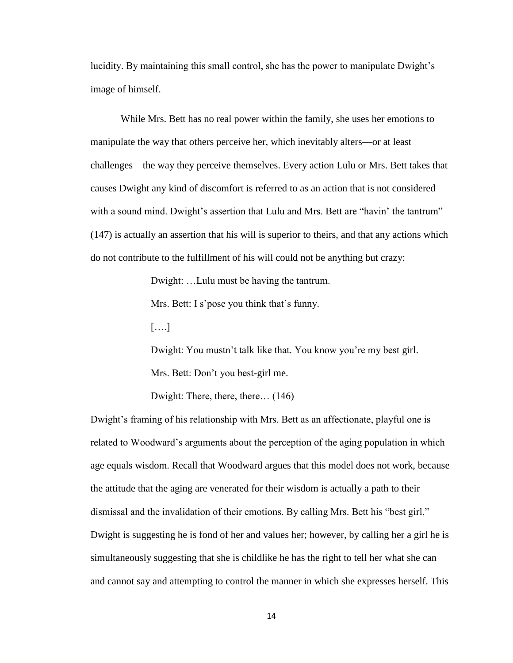lucidity. By maintaining this small control, she has the power to manipulate Dwight's image of himself.

While Mrs. Bett has no real power within the family, she uses her emotions to manipulate the way that others perceive her, which inevitably alters—or at least challenges—the way they perceive themselves. Every action Lulu or Mrs. Bett takes that causes Dwight any kind of discomfort is referred to as an action that is not considered with a sound mind. Dwight's assertion that Lulu and Mrs. Bett are "havin' the tantrum" (147) is actually an assertion that his will is superior to theirs, and that any actions which do not contribute to the fulfillment of his will could not be anything but crazy:

Dwight: …Lulu must be having the tantrum.

Mrs. Bett: I s'pose you think that's funny.

[….]

Dwight: You mustn't talk like that. You know you're my best girl. Mrs. Bett: Don't you best-girl me.

Dwight: There, there, there… (146)

Dwight's framing of his relationship with Mrs. Bett as an affectionate, playful one is related to Woodward's arguments about the perception of the aging population in which age equals wisdom. Recall that Woodward argues that this model does not work, because the attitude that the aging are venerated for their wisdom is actually a path to their dismissal and the invalidation of their emotions. By calling Mrs. Bett his "best girl," Dwight is suggesting he is fond of her and values her; however, by calling her a girl he is simultaneously suggesting that she is childlike he has the right to tell her what she can and cannot say and attempting to control the manner in which she expresses herself. This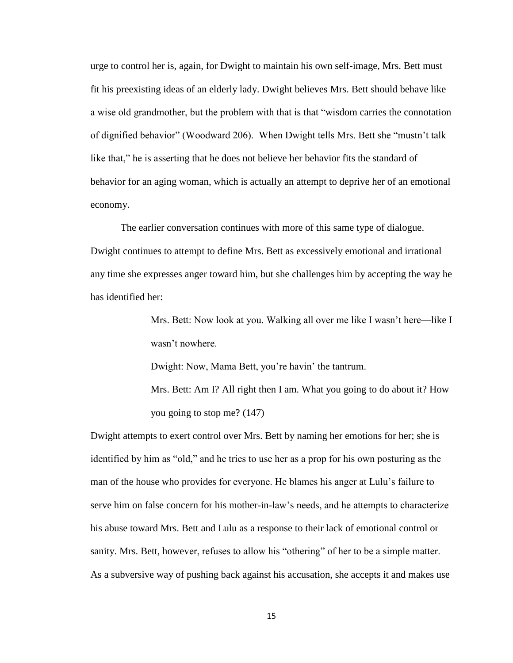urge to control her is, again, for Dwight to maintain his own self-image, Mrs. Bett must fit his preexisting ideas of an elderly lady. Dwight believes Mrs. Bett should behave like a wise old grandmother, but the problem with that is that "wisdom carries the connotation of dignified behavior" (Woodward 206). When Dwight tells Mrs. Bett she "mustn't talk like that," he is asserting that he does not believe her behavior fits the standard of behavior for an aging woman, which is actually an attempt to deprive her of an emotional economy.

The earlier conversation continues with more of this same type of dialogue. Dwight continues to attempt to define Mrs. Bett as excessively emotional and irrational any time she expresses anger toward him, but she challenges him by accepting the way he has identified her:

> Mrs. Bett: Now look at you. Walking all over me like I wasn't here—like I wasn't nowhere.

Dwight: Now, Mama Bett, you're havin' the tantrum.

Mrs. Bett: Am I? All right then I am. What you going to do about it? How you going to stop me? (147)

Dwight attempts to exert control over Mrs. Bett by naming her emotions for her; she is identified by him as "old," and he tries to use her as a prop for his own posturing as the man of the house who provides for everyone. He blames his anger at Lulu's failure to serve him on false concern for his mother-in-law's needs, and he attempts to characterize his abuse toward Mrs. Bett and Lulu as a response to their lack of emotional control or sanity. Mrs. Bett, however, refuses to allow his "othering" of her to be a simple matter. As a subversive way of pushing back against his accusation, she accepts it and makes use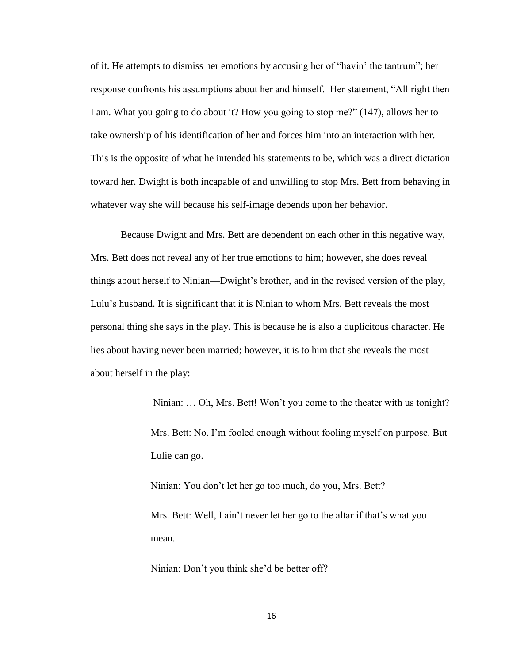of it. He attempts to dismiss her emotions by accusing her of "havin' the tantrum"; her response confronts his assumptions about her and himself. Her statement, "All right then I am. What you going to do about it? How you going to stop me?" (147), allows her to take ownership of his identification of her and forces him into an interaction with her. This is the opposite of what he intended his statements to be, which was a direct dictation toward her. Dwight is both incapable of and unwilling to stop Mrs. Bett from behaving in whatever way she will because his self-image depends upon her behavior.

Because Dwight and Mrs. Bett are dependent on each other in this negative way, Mrs. Bett does not reveal any of her true emotions to him; however, she does reveal things about herself to Ninian—Dwight's brother, and in the revised version of the play, Lulu's husband. It is significant that it is Ninian to whom Mrs. Bett reveals the most personal thing she says in the play. This is because he is also a duplicitous character. He lies about having never been married; however, it is to him that she reveals the most about herself in the play:

> Ninian: … Oh, Mrs. Bett! Won't you come to the theater with us tonight? Mrs. Bett: No. I'm fooled enough without fooling myself on purpose. But Lulie can go.

Ninian: You don't let her go too much, do you, Mrs. Bett?

Mrs. Bett: Well, I ain't never let her go to the altar if that's what you mean.

Ninian: Don't you think she'd be better off?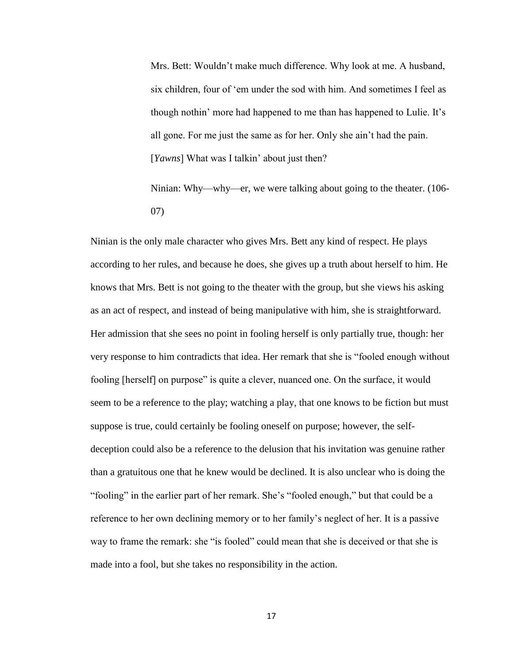Mrs. Bett: Wouldn't make much difference. Why look at me. A husband, six children, four of 'em under the sod with him. And sometimes I feel as though nothin' more had happened to me than has happened to Lulie. It's all gone. For me just the same as for her. Only she ain't had the pain. [*Yawns*] What was I talkin' about just then?

Ninian: Why—why—er, we were talking about going to the theater. (106- 07)

Ninian is the only male character who gives Mrs. Bett any kind of respect. He plays according to her rules, and because he does, she gives up a truth about herself to him. He knows that Mrs. Bett is not going to the theater with the group, but she views his asking as an act of respect, and instead of being manipulative with him, she is straightforward. Her admission that she sees no point in fooling herself is only partially true, though: her very response to him contradicts that idea. Her remark that she is "fooled enough without fooling [herself] on purpose" is quite a clever, nuanced one. On the surface, it would seem to be a reference to the play; watching a play, that one knows to be fiction but must suppose is true, could certainly be fooling oneself on purpose; however, the selfdeception could also be a reference to the delusion that his invitation was genuine rather than a gratuitous one that he knew would be declined. It is also unclear who is doing the "fooling" in the earlier part of her remark. She's "fooled enough," but that could be a reference to her own declining memory or to her family's neglect of her. It is a passive way to frame the remark: she "is fooled" could mean that she is deceived or that she is made into a fool, but she takes no responsibility in the action.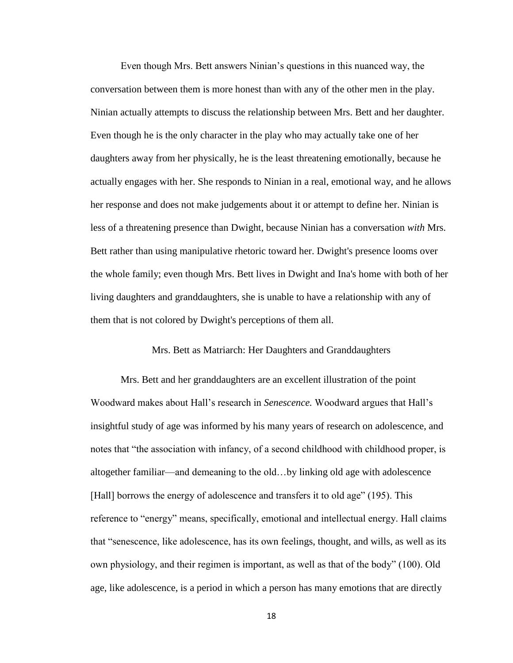Even though Mrs. Bett answers Ninian's questions in this nuanced way, the conversation between them is more honest than with any of the other men in the play. Ninian actually attempts to discuss the relationship between Mrs. Bett and her daughter. Even though he is the only character in the play who may actually take one of her daughters away from her physically, he is the least threatening emotionally, because he actually engages with her. She responds to Ninian in a real, emotional way, and he allows her response and does not make judgements about it or attempt to define her. Ninian is less of a threatening presence than Dwight, because Ninian has a conversation *with* Mrs. Bett rather than using manipulative rhetoric toward her. Dwight's presence looms over the whole family; even though Mrs. Bett lives in Dwight and Ina's home with both of her living daughters and granddaughters, she is unable to have a relationship with any of them that is not colored by Dwight's perceptions of them all.

#### Mrs. Bett as Matriarch: Her Daughters and Granddaughters

Mrs. Bett and her granddaughters are an excellent illustration of the point Woodward makes about Hall's research in *Senescence.* Woodward argues that Hall's insightful study of age was informed by his many years of research on adolescence, and notes that "the association with infancy, of a second childhood with childhood proper, is altogether familiar—and demeaning to the old…by linking old age with adolescence [Hall] borrows the energy of adolescence and transfers it to old age" (195). This reference to "energy" means, specifically, emotional and intellectual energy. Hall claims that "senescence, like adolescence, has its own feelings, thought, and wills, as well as its own physiology, and their regimen is important, as well as that of the body" (100). Old age, like adolescence, is a period in which a person has many emotions that are directly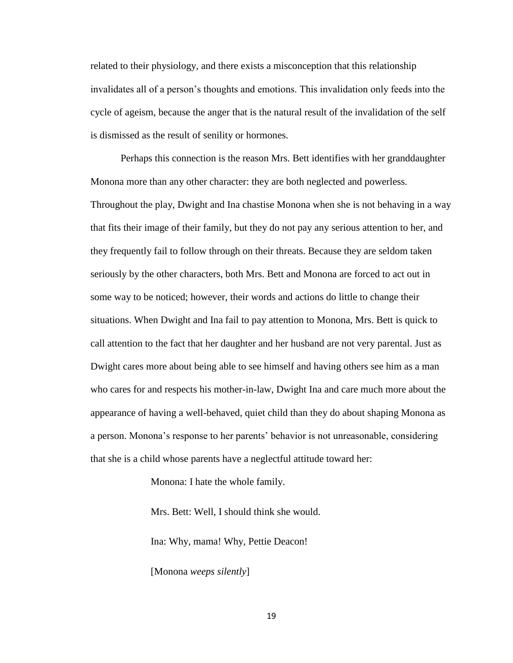related to their physiology, and there exists a misconception that this relationship invalidates all of a person's thoughts and emotions. This invalidation only feeds into the cycle of ageism, because the anger that is the natural result of the invalidation of the self is dismissed as the result of senility or hormones.

Perhaps this connection is the reason Mrs. Bett identifies with her granddaughter Monona more than any other character: they are both neglected and powerless. Throughout the play, Dwight and Ina chastise Monona when she is not behaving in a way that fits their image of their family, but they do not pay any serious attention to her, and they frequently fail to follow through on their threats. Because they are seldom taken seriously by the other characters, both Mrs. Bett and Monona are forced to act out in some way to be noticed; however, their words and actions do little to change their situations. When Dwight and Ina fail to pay attention to Monona, Mrs. Bett is quick to call attention to the fact that her daughter and her husband are not very parental. Just as Dwight cares more about being able to see himself and having others see him as a man who cares for and respects his mother-in-law, Dwight Ina and care much more about the appearance of having a well-behaved, quiet child than they do about shaping Monona as a person. Monona's response to her parents' behavior is not unreasonable, considering that she is a child whose parents have a neglectful attitude toward her:

Monona: I hate the whole family.

Mrs. Bett: Well, I should think she would.

Ina: Why, mama! Why, Pettie Deacon!

[Monona *weeps silently*]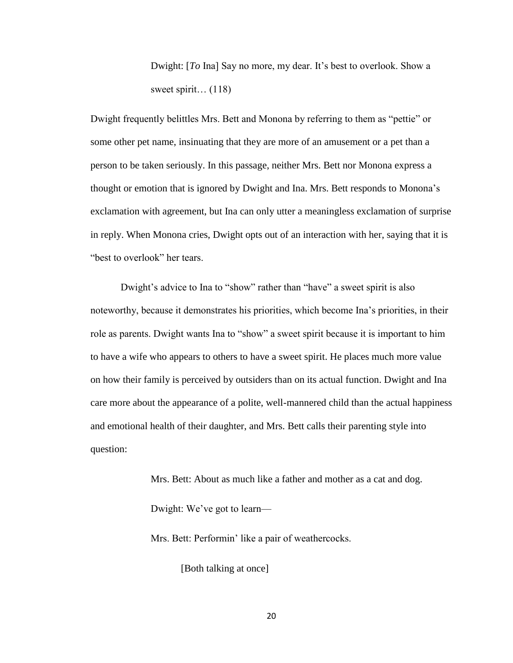Dwight: [*To* Ina] Say no more, my dear. It's best to overlook. Show a sweet spirit… (118)

Dwight frequently belittles Mrs. Bett and Monona by referring to them as "pettie" or some other pet name, insinuating that they are more of an amusement or a pet than a person to be taken seriously. In this passage, neither Mrs. Bett nor Monona express a thought or emotion that is ignored by Dwight and Ina. Mrs. Bett responds to Monona's exclamation with agreement, but Ina can only utter a meaningless exclamation of surprise in reply. When Monona cries, Dwight opts out of an interaction with her, saying that it is "best to overlook" her tears.

Dwight's advice to Ina to "show" rather than "have" a sweet spirit is also noteworthy, because it demonstrates his priorities, which become Ina's priorities, in their role as parents. Dwight wants Ina to "show" a sweet spirit because it is important to him to have a wife who appears to others to have a sweet spirit. He places much more value on how their family is perceived by outsiders than on its actual function. Dwight and Ina care more about the appearance of a polite, well-mannered child than the actual happiness and emotional health of their daughter, and Mrs. Bett calls their parenting style into question:

> Mrs. Bett: About as much like a father and mother as a cat and dog. Dwight: We've got to learn—

Mrs. Bett: Performin' like a pair of weathercocks.

[Both talking at once]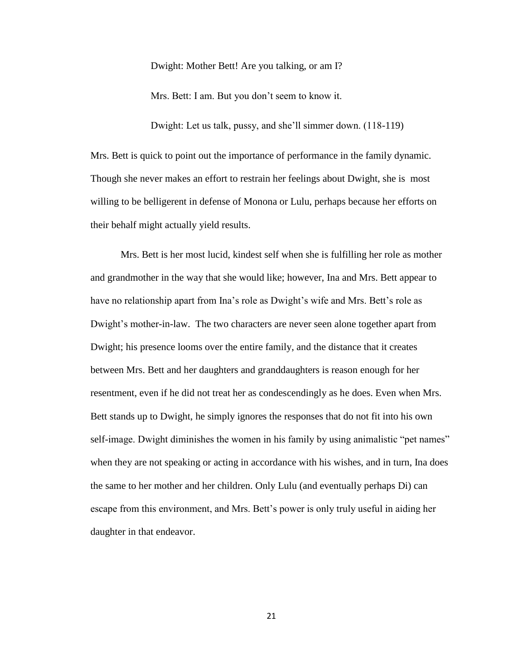Dwight: Mother Bett! Are you talking, or am I?

Mrs. Bett: I am. But you don't seem to know it.

Dwight: Let us talk, pussy, and she'll simmer down. (118-119)

Mrs. Bett is quick to point out the importance of performance in the family dynamic. Though she never makes an effort to restrain her feelings about Dwight, she is most willing to be belligerent in defense of Monona or Lulu, perhaps because her efforts on their behalf might actually yield results.

Mrs. Bett is her most lucid, kindest self when she is fulfilling her role as mother and grandmother in the way that she would like; however, Ina and Mrs. Bett appear to have no relationship apart from Ina's role as Dwight's wife and Mrs. Bett's role as Dwight's mother-in-law. The two characters are never seen alone together apart from Dwight; his presence looms over the entire family, and the distance that it creates between Mrs. Bett and her daughters and granddaughters is reason enough for her resentment, even if he did not treat her as condescendingly as he does. Even when Mrs. Bett stands up to Dwight, he simply ignores the responses that do not fit into his own self-image. Dwight diminishes the women in his family by using animalistic "pet names" when they are not speaking or acting in accordance with his wishes, and in turn, Ina does the same to her mother and her children. Only Lulu (and eventually perhaps Di) can escape from this environment, and Mrs. Bett's power is only truly useful in aiding her daughter in that endeavor.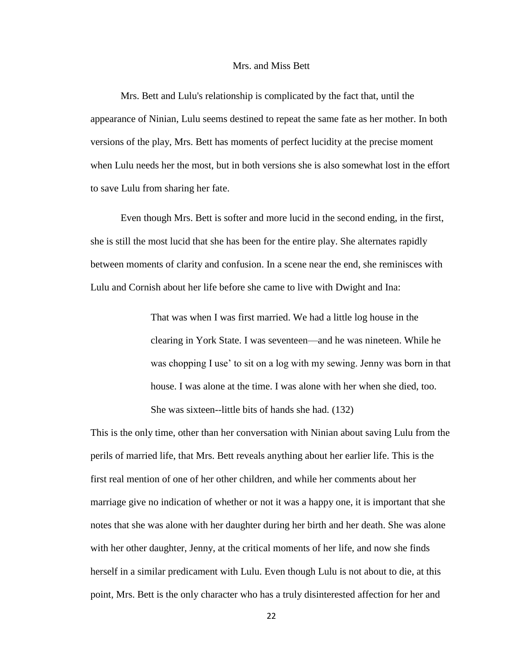#### Mrs. and Miss Bett

Mrs. Bett and Lulu's relationship is complicated by the fact that, until the appearance of Ninian, Lulu seems destined to repeat the same fate as her mother. In both versions of the play, Mrs. Bett has moments of perfect lucidity at the precise moment when Lulu needs her the most, but in both versions she is also somewhat lost in the effort to save Lulu from sharing her fate.

Even though Mrs. Bett is softer and more lucid in the second ending, in the first, she is still the most lucid that she has been for the entire play. She alternates rapidly between moments of clarity and confusion. In a scene near the end, she reminisces with Lulu and Cornish about her life before she came to live with Dwight and Ina:

> That was when I was first married. We had a little log house in the clearing in York State. I was seventeen—and he was nineteen. While he was chopping I use' to sit on a log with my sewing. Jenny was born in that house. I was alone at the time. I was alone with her when she died, too. She was sixteen--little bits of hands she had. (132)

This is the only time, other than her conversation with Ninian about saving Lulu from the perils of married life, that Mrs. Bett reveals anything about her earlier life. This is the first real mention of one of her other children, and while her comments about her marriage give no indication of whether or not it was a happy one, it is important that she notes that she was alone with her daughter during her birth and her death. She was alone with her other daughter, Jenny, at the critical moments of her life, and now she finds herself in a similar predicament with Lulu. Even though Lulu is not about to die, at this point, Mrs. Bett is the only character who has a truly disinterested affection for her and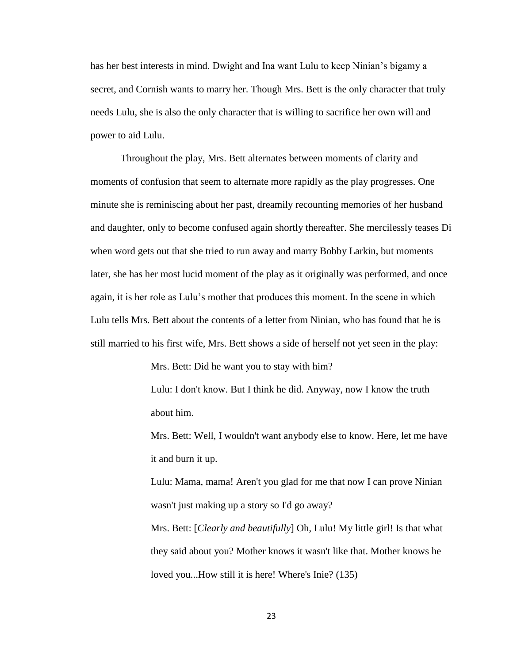has her best interests in mind. Dwight and Ina want Lulu to keep Ninian's bigamy a secret, and Cornish wants to marry her. Though Mrs. Bett is the only character that truly needs Lulu, she is also the only character that is willing to sacrifice her own will and power to aid Lulu.

Throughout the play, Mrs. Bett alternates between moments of clarity and moments of confusion that seem to alternate more rapidly as the play progresses. One minute she is reminiscing about her past, dreamily recounting memories of her husband and daughter, only to become confused again shortly thereafter. She mercilessly teases Di when word gets out that she tried to run away and marry Bobby Larkin, but moments later, she has her most lucid moment of the play as it originally was performed, and once again, it is her role as Lulu's mother that produces this moment. In the scene in which Lulu tells Mrs. Bett about the contents of a letter from Ninian, who has found that he is still married to his first wife, Mrs. Bett shows a side of herself not yet seen in the play:

Mrs. Bett: Did he want you to stay with him?

Lulu: I don't know. But I think he did. Anyway, now I know the truth about him.

Mrs. Bett: Well, I wouldn't want anybody else to know. Here, let me have it and burn it up.

Lulu: Mama, mama! Aren't you glad for me that now I can prove Ninian wasn't just making up a story so I'd go away?

Mrs. Bett: [*Clearly and beautifully*] Oh, Lulu! My little girl! Is that what they said about you? Mother knows it wasn't like that. Mother knows he loved you...How still it is here! Where's Inie? (135)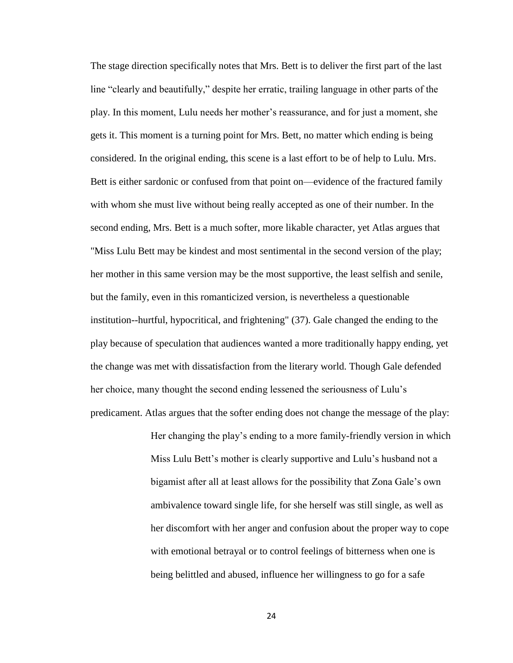The stage direction specifically notes that Mrs. Bett is to deliver the first part of the last line "clearly and beautifully," despite her erratic, trailing language in other parts of the play. In this moment, Lulu needs her mother's reassurance, and for just a moment, she gets it. This moment is a turning point for Mrs. Bett, no matter which ending is being considered. In the original ending, this scene is a last effort to be of help to Lulu. Mrs. Bett is either sardonic or confused from that point on—evidence of the fractured family with whom she must live without being really accepted as one of their number. In the second ending, Mrs. Bett is a much softer, more likable character, yet Atlas argues that "Miss Lulu Bett may be kindest and most sentimental in the second version of the play; her mother in this same version may be the most supportive, the least selfish and senile, but the family, even in this romanticized version, is nevertheless a questionable institution--hurtful, hypocritical, and frightening" (37). Gale changed the ending to the play because of speculation that audiences wanted a more traditionally happy ending, yet the change was met with dissatisfaction from the literary world. Though Gale defended her choice, many thought the second ending lessened the seriousness of Lulu's predicament. Atlas argues that the softer ending does not change the message of the play:

> Her changing the play's ending to a more family-friendly version in which Miss Lulu Bett's mother is clearly supportive and Lulu's husband not a bigamist after all at least allows for the possibility that Zona Gale's own ambivalence toward single life, for she herself was still single, as well as her discomfort with her anger and confusion about the proper way to cope with emotional betrayal or to control feelings of bitterness when one is being belittled and abused, influence her willingness to go for a safe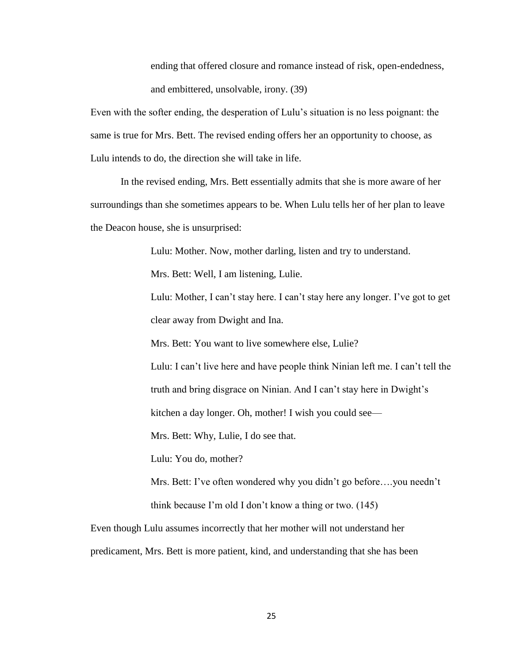ending that offered closure and romance instead of risk, open-endedness, and embittered, unsolvable, irony. (39)

Even with the softer ending, the desperation of Lulu's situation is no less poignant: the same is true for Mrs. Bett. The revised ending offers her an opportunity to choose, as Lulu intends to do, the direction she will take in life.

In the revised ending, Mrs. Bett essentially admits that she is more aware of her surroundings than she sometimes appears to be. When Lulu tells her of her plan to leave the Deacon house, she is unsurprised:

Lulu: Mother. Now, mother darling, listen and try to understand.

Mrs. Bett: Well, I am listening, Lulie.

Lulu: Mother, I can't stay here. I can't stay here any longer. I've got to get clear away from Dwight and Ina.

Mrs. Bett: You want to live somewhere else, Lulie?

Lulu: I can't live here and have people think Ninian left me. I can't tell the truth and bring disgrace on Ninian. And I can't stay here in Dwight's

kitchen a day longer. Oh, mother! I wish you could see—

Mrs. Bett: Why, Lulie, I do see that.

Lulu: You do, mother?

Mrs. Bett: I've often wondered why you didn't go before….you needn't think because I'm old I don't know a thing or two. (145)

Even though Lulu assumes incorrectly that her mother will not understand her predicament, Mrs. Bett is more patient, kind, and understanding that she has been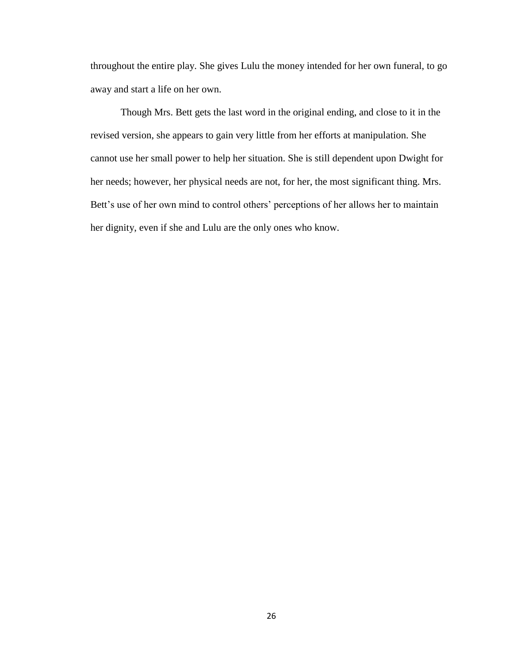throughout the entire play. She gives Lulu the money intended for her own funeral, to go away and start a life on her own.

Though Mrs. Bett gets the last word in the original ending, and close to it in the revised version, she appears to gain very little from her efforts at manipulation. She cannot use her small power to help her situation. She is still dependent upon Dwight for her needs; however, her physical needs are not, for her, the most significant thing. Mrs. Bett's use of her own mind to control others' perceptions of her allows her to maintain her dignity, even if she and Lulu are the only ones who know.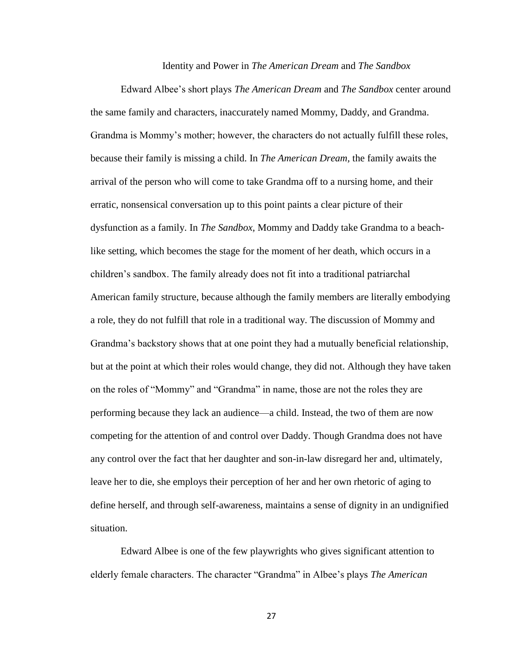Identity and Power in *The American Dream* and *The Sandbox*

Edward Albee's short plays *The American Dream* and *The Sandbox* center around the same family and characters, inaccurately named Mommy, Daddy, and Grandma. Grandma is Mommy's mother; however, the characters do not actually fulfill these roles, because their family is missing a child. In *The American Dream,* the family awaits the arrival of the person who will come to take Grandma off to a nursing home, and their erratic, nonsensical conversation up to this point paints a clear picture of their dysfunction as a family. In *The Sandbox,* Mommy and Daddy take Grandma to a beachlike setting, which becomes the stage for the moment of her death, which occurs in a children's sandbox. The family already does not fit into a traditional patriarchal American family structure, because although the family members are literally embodying a role, they do not fulfill that role in a traditional way. The discussion of Mommy and Grandma's backstory shows that at one point they had a mutually beneficial relationship, but at the point at which their roles would change, they did not. Although they have taken on the roles of "Mommy" and "Grandma" in name, those are not the roles they are performing because they lack an audience—a child. Instead, the two of them are now competing for the attention of and control over Daddy. Though Grandma does not have any control over the fact that her daughter and son-in-law disregard her and, ultimately, leave her to die, she employs their perception of her and her own rhetoric of aging to define herself, and through self-awareness, maintains a sense of dignity in an undignified situation.

Edward Albee is one of the few playwrights who gives significant attention to elderly female characters. The character "Grandma" in Albee's plays *The American*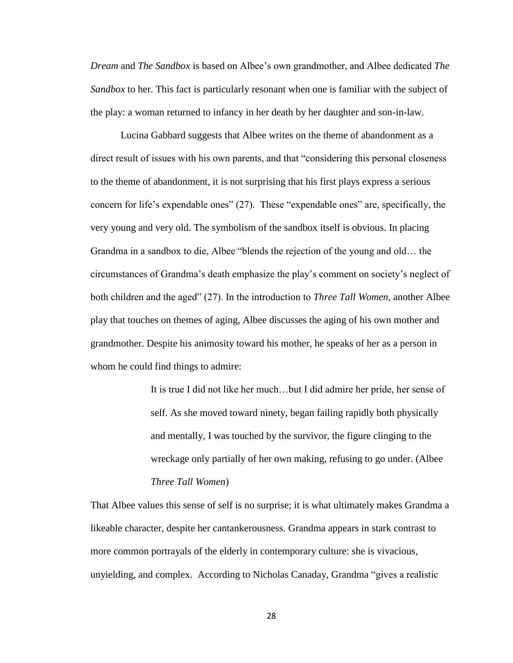*Dream* and *The Sandbox* is based on Albee's own grandmother, and Albee dedicated *The Sandbox* to her. This fact is particularly resonant when one is familiar with the subject of the play: a woman returned to infancy in her death by her daughter and son-in-law.

Lucina Gabbard suggests that Albee writes on the theme of abandonment as a direct result of issues with his own parents, and that "considering this personal closeness to the theme of abandonment, it is not surprising that his first plays express a serious concern for life's expendable ones" (27). These "expendable ones" are, specifically, the very young and very old. The symbolism of the sandbox itself is obvious. In placing Grandma in a sandbox to die, Albee "blends the rejection of the young and old… the circumstances of Grandma's death emphasize the play's comment on society's neglect of both children and the aged" (27). In the introduction to *Three Tall Women*, another Albee play that touches on themes of aging, Albee discusses the aging of his own mother and grandmother. Despite his animosity toward his mother, he speaks of her as a person in whom he could find things to admire:

> It is true I did not like her much…but I did admire her pride, her sense of self. As she moved toward ninety, began failing rapidly both physically and mentally, I was touched by the survivor, the figure clinging to the wreckage only partially of her own making, refusing to go under. (Albee *Three Tall Women*)

That Albee values this sense of self is no surprise; it is what ultimately makes Grandma a likeable character, despite her cantankerousness. Grandma appears in stark contrast to more common portrayals of the elderly in contemporary culture: she is vivacious, unyielding, and complex. According to Nicholas Canaday, Grandma "gives a realistic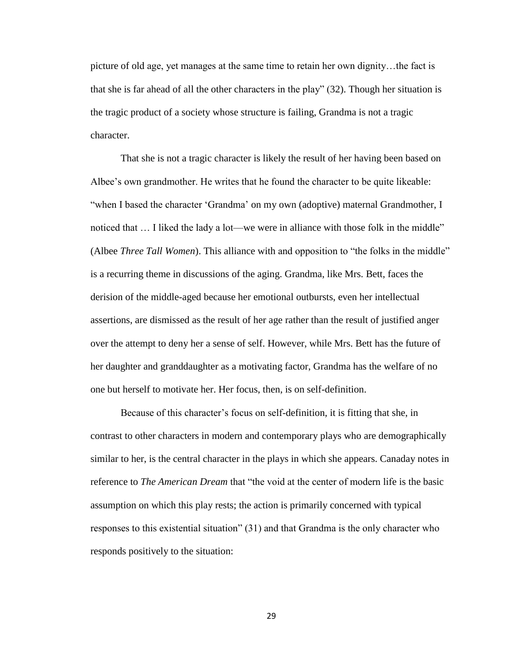picture of old age, yet manages at the same time to retain her own dignity…the fact is that she is far ahead of all the other characters in the play" (32). Though her situation is the tragic product of a society whose structure is failing, Grandma is not a tragic character.

That she is not a tragic character is likely the result of her having been based on Albee's own grandmother. He writes that he found the character to be quite likeable: "when I based the character 'Grandma' on my own (adoptive) maternal Grandmother, I noticed that … I liked the lady a lot—we were in alliance with those folk in the middle" (Albee *Three Tall Women*). This alliance with and opposition to "the folks in the middle" is a recurring theme in discussions of the aging. Grandma, like Mrs. Bett, faces the derision of the middle-aged because her emotional outbursts, even her intellectual assertions, are dismissed as the result of her age rather than the result of justified anger over the attempt to deny her a sense of self. However, while Mrs. Bett has the future of her daughter and granddaughter as a motivating factor, Grandma has the welfare of no one but herself to motivate her. Her focus, then, is on self-definition.

Because of this character's focus on self-definition, it is fitting that she, in contrast to other characters in modern and contemporary plays who are demographically similar to her, is the central character in the plays in which she appears. Canaday notes in reference to *The American Dream* that "the void at the center of modern life is the basic assumption on which this play rests; the action is primarily concerned with typical responses to this existential situation" (31) and that Grandma is the only character who responds positively to the situation: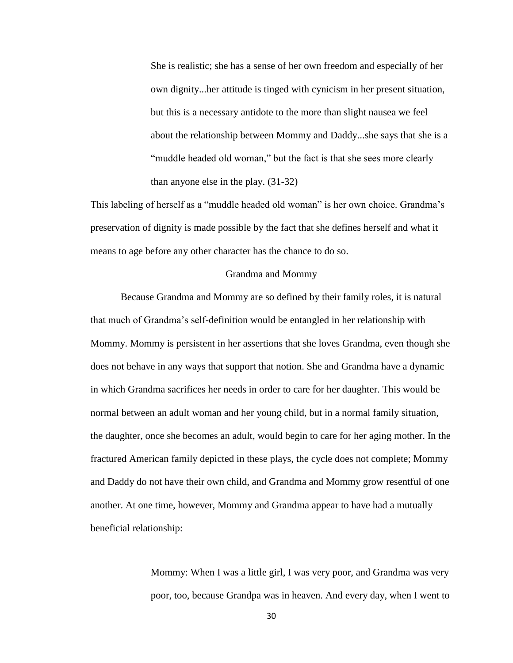She is realistic; she has a sense of her own freedom and especially of her own dignity...her attitude is tinged with cynicism in her present situation, but this is a necessary antidote to the more than slight nausea we feel about the relationship between Mommy and Daddy...she says that she is a "muddle headed old woman," but the fact is that she sees more clearly than anyone else in the play. (31-32)

This labeling of herself as a "muddle headed old woman" is her own choice. Grandma's preservation of dignity is made possible by the fact that she defines herself and what it means to age before any other character has the chance to do so.

#### Grandma and Mommy

Because Grandma and Mommy are so defined by their family roles, it is natural that much of Grandma's self-definition would be entangled in her relationship with Mommy. Mommy is persistent in her assertions that she loves Grandma, even though she does not behave in any ways that support that notion. She and Grandma have a dynamic in which Grandma sacrifices her needs in order to care for her daughter. This would be normal between an adult woman and her young child, but in a normal family situation, the daughter, once she becomes an adult, would begin to care for her aging mother. In the fractured American family depicted in these plays, the cycle does not complete; Mommy and Daddy do not have their own child, and Grandma and Mommy grow resentful of one another. At one time, however, Mommy and Grandma appear to have had a mutually beneficial relationship:

> Mommy: When I was a little girl, I was very poor, and Grandma was very poor, too, because Grandpa was in heaven. And every day, when I went to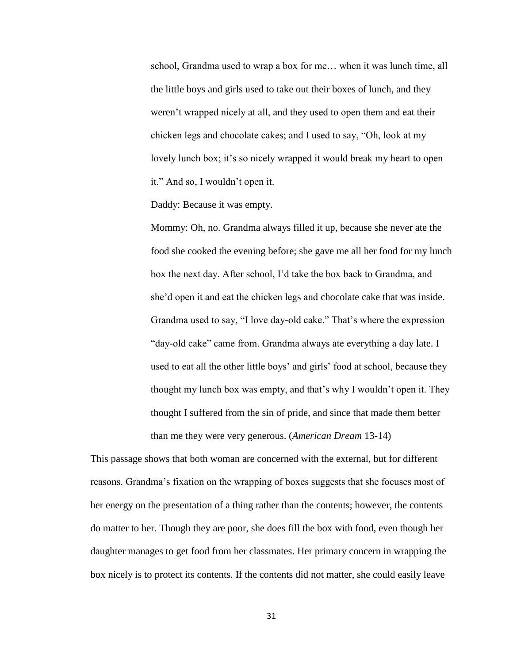school, Grandma used to wrap a box for me… when it was lunch time, all the little boys and girls used to take out their boxes of lunch, and they weren't wrapped nicely at all, and they used to open them and eat their chicken legs and chocolate cakes; and I used to say, "Oh, look at my lovely lunch box; it's so nicely wrapped it would break my heart to open it." And so, I wouldn't open it.

Daddy: Because it was empty.

Mommy: Oh, no. Grandma always filled it up, because she never ate the food she cooked the evening before; she gave me all her food for my lunch box the next day. After school, I'd take the box back to Grandma, and she'd open it and eat the chicken legs and chocolate cake that was inside. Grandma used to say, "I love day-old cake." That's where the expression "day-old cake" came from. Grandma always ate everything a day late. I used to eat all the other little boys' and girls' food at school, because they thought my lunch box was empty, and that's why I wouldn't open it. They thought I suffered from the sin of pride, and since that made them better than me they were very generous. (*American Dream* 13-14)

This passage shows that both woman are concerned with the external, but for different reasons. Grandma's fixation on the wrapping of boxes suggests that she focuses most of her energy on the presentation of a thing rather than the contents; however, the contents do matter to her. Though they are poor, she does fill the box with food, even though her daughter manages to get food from her classmates. Her primary concern in wrapping the box nicely is to protect its contents. If the contents did not matter, she could easily leave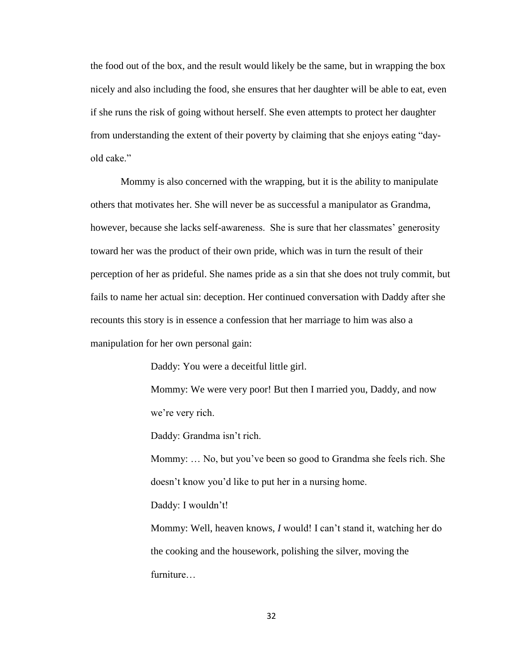the food out of the box, and the result would likely be the same, but in wrapping the box nicely and also including the food, she ensures that her daughter will be able to eat, even if she runs the risk of going without herself. She even attempts to protect her daughter from understanding the extent of their poverty by claiming that she enjoys eating "dayold cake."

Mommy is also concerned with the wrapping, but it is the ability to manipulate others that motivates her. She will never be as successful a manipulator as Grandma, however, because she lacks self-awareness. She is sure that her classmates' generosity toward her was the product of their own pride, which was in turn the result of their perception of her as prideful. She names pride as a sin that she does not truly commit, but fails to name her actual sin: deception. Her continued conversation with Daddy after she recounts this story is in essence a confession that her marriage to him was also a manipulation for her own personal gain:

Daddy: You were a deceitful little girl.

Mommy: We were very poor! But then I married you, Daddy, and now we're very rich.

Daddy: Grandma isn't rich.

Mommy: … No, but you've been so good to Grandma she feels rich. She doesn't know you'd like to put her in a nursing home.

Daddy: I wouldn't!

Mommy: Well, heaven knows, *I* would! I can't stand it, watching her do the cooking and the housework, polishing the silver, moving the furniture…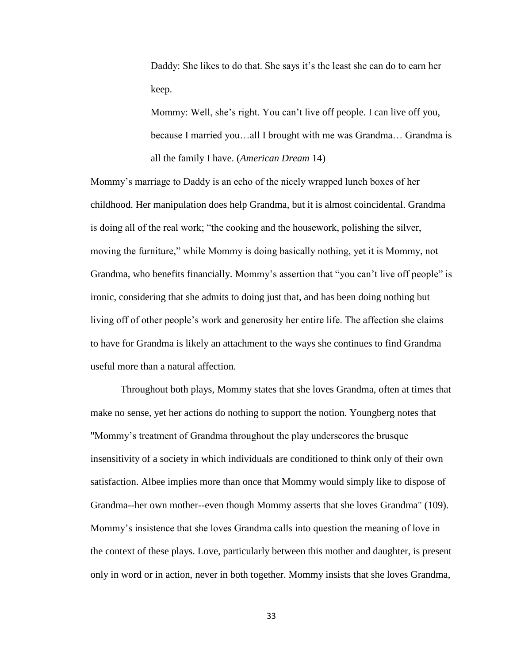Daddy: She likes to do that. She says it's the least she can do to earn her keep.

Mommy: Well, she's right. You can't live off people. I can live off you, because I married you…all I brought with me was Grandma… Grandma is all the family I have. (*American Dream* 14)

Mommy's marriage to Daddy is an echo of the nicely wrapped lunch boxes of her childhood. Her manipulation does help Grandma, but it is almost coincidental. Grandma is doing all of the real work; "the cooking and the housework, polishing the silver, moving the furniture," while Mommy is doing basically nothing, yet it is Mommy, not Grandma, who benefits financially. Mommy's assertion that "you can't live off people" is ironic, considering that she admits to doing just that, and has been doing nothing but living off of other people's work and generosity her entire life. The affection she claims to have for Grandma is likely an attachment to the ways she continues to find Grandma useful more than a natural affection.

Throughout both plays, Mommy states that she loves Grandma, often at times that make no sense, yet her actions do nothing to support the notion. Youngberg notes that "Mommy's treatment of Grandma throughout the play underscores the brusque insensitivity of a society in which individuals are conditioned to think only of their own satisfaction. Albee implies more than once that Mommy would simply like to dispose of Grandma--her own mother--even though Mommy asserts that she loves Grandma" (109). Mommy's insistence that she loves Grandma calls into question the meaning of love in the context of these plays. Love, particularly between this mother and daughter, is present only in word or in action, never in both together. Mommy insists that she loves Grandma,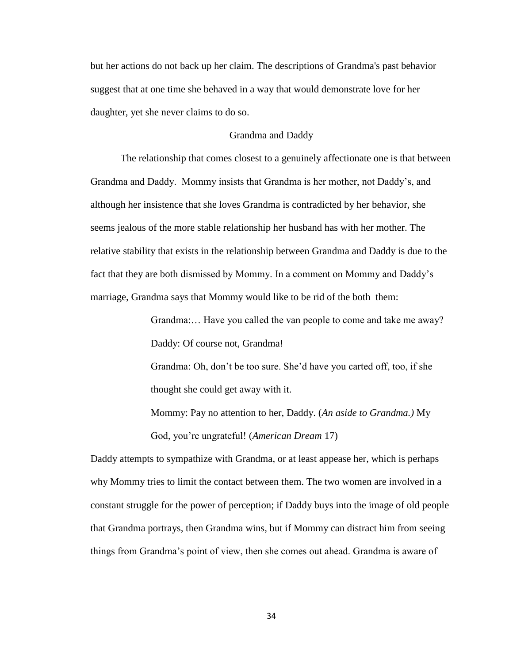but her actions do not back up her claim. The descriptions of Grandma's past behavior suggest that at one time she behaved in a way that would demonstrate love for her daughter, yet she never claims to do so.

## Grandma and Daddy

The relationship that comes closest to a genuinely affectionate one is that between Grandma and Daddy. Mommy insists that Grandma is her mother, not Daddy's, and although her insistence that she loves Grandma is contradicted by her behavior, she seems jealous of the more stable relationship her husband has with her mother. The relative stability that exists in the relationship between Grandma and Daddy is due to the fact that they are both dismissed by Mommy. In a comment on Mommy and Daddy's marriage, Grandma says that Mommy would like to be rid of the both them:

> Grandma:… Have you called the van people to come and take me away? Daddy: Of course not, Grandma!

Grandma: Oh, don't be too sure. She'd have you carted off, too, if she thought she could get away with it.

Mommy: Pay no attention to her, Daddy. (*An aside to Grandma.)* My God, you're ungrateful! (*American Dream* 17)

Daddy attempts to sympathize with Grandma, or at least appease her, which is perhaps why Mommy tries to limit the contact between them. The two women are involved in a constant struggle for the power of perception; if Daddy buys into the image of old people that Grandma portrays, then Grandma wins, but if Mommy can distract him from seeing things from Grandma's point of view, then she comes out ahead. Grandma is aware of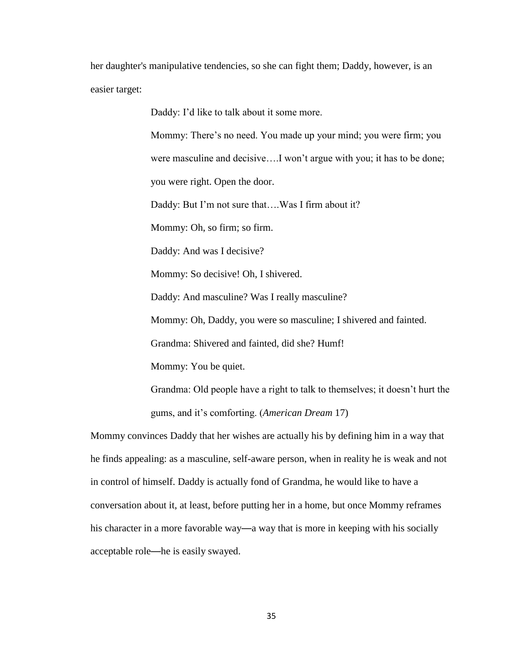her daughter's manipulative tendencies, so she can fight them; Daddy, however, is an easier target:

Daddy: I'd like to talk about it some more.

Mommy: There's no need. You made up your mind; you were firm; you were masculine and decisive….I won't argue with you; it has to be done; you were right. Open the door.

Daddy: But I'm not sure that….Was I firm about it?

Mommy: Oh, so firm; so firm.

Daddy: And was I decisive?

Mommy: So decisive! Oh, I shivered.

Daddy: And masculine? Was I really masculine?

Mommy: Oh, Daddy, you were so masculine; I shivered and fainted.

Grandma: Shivered and fainted, did she? Humf!

Mommy: You be quiet.

Grandma: Old people have a right to talk to themselves; it doesn't hurt the gums, and it's comforting. (*American Dream* 17)

Mommy convinces Daddy that her wishes are actually his by defining him in a way that he finds appealing: as a masculine, self-aware person, when in reality he is weak and not in control of himself. Daddy is actually fond of Grandma, he would like to have a conversation about it, at least, before putting her in a home, but once Mommy reframes his character in a more favorable way—a way that is more in keeping with his socially acceptable role—he is easily swayed.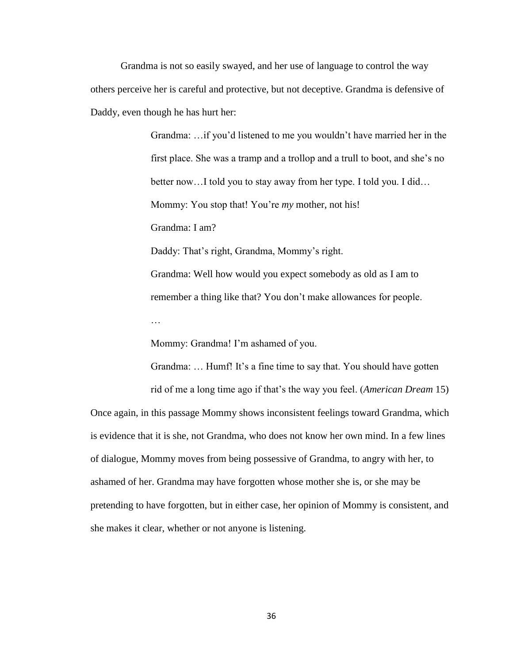Grandma is not so easily swayed, and her use of language to control the way others perceive her is careful and protective, but not deceptive. Grandma is defensive of Daddy, even though he has hurt her:

> Grandma: …if you'd listened to me you wouldn't have married her in the first place. She was a tramp and a trollop and a trull to boot, and she's no better now…I told you to stay away from her type. I told you. I did… Mommy: You stop that! You're *my* mother, not his! Grandma: I am? Daddy: That's right, Grandma, Mommy's right. Grandma: Well how would you expect somebody as old as I am to remember a thing like that? You don't make allowances for people.

Mommy: Grandma! I'm ashamed of you.

Grandma: … Humf! It's a fine time to say that. You should have gotten

rid of me a long time ago if that's the way you feel. (*American Dream* 15) Once again, in this passage Mommy shows inconsistent feelings toward Grandma, which is evidence that it is she, not Grandma, who does not know her own mind. In a few lines of dialogue, Mommy moves from being possessive of Grandma, to angry with her, to

ashamed of her. Grandma may have forgotten whose mother she is, or she may be pretending to have forgotten, but in either case, her opinion of Mommy is consistent, and she makes it clear, whether or not anyone is listening.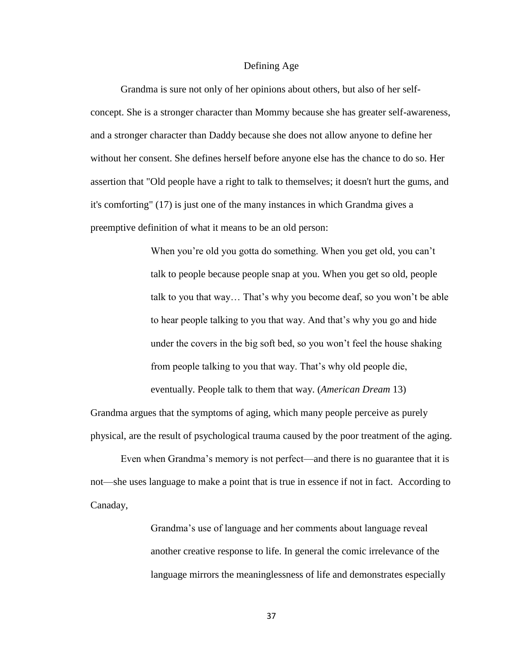#### Defining Age

Grandma is sure not only of her opinions about others, but also of her selfconcept. She is a stronger character than Mommy because she has greater self-awareness, and a stronger character than Daddy because she does not allow anyone to define her without her consent. She defines herself before anyone else has the chance to do so. Her assertion that "Old people have a right to talk to themselves; it doesn't hurt the gums, and it's comforting" (17) is just one of the many instances in which Grandma gives a preemptive definition of what it means to be an old person:

> When you're old you gotta do something. When you get old, you can't talk to people because people snap at you. When you get so old, people talk to you that way… That's why you become deaf, so you won't be able to hear people talking to you that way. And that's why you go and hide under the covers in the big soft bed, so you won't feel the house shaking from people talking to you that way. That's why old people die, eventually. People talk to them that way. (*American Dream* 13)

Grandma argues that the symptoms of aging, which many people perceive as purely physical, are the result of psychological trauma caused by the poor treatment of the aging.

Even when Grandma's memory is not perfect—and there is no guarantee that it is not—she uses language to make a point that is true in essence if not in fact. According to Canaday,

> Grandma's use of language and her comments about language reveal another creative response to life. In general the comic irrelevance of the language mirrors the meaninglessness of life and demonstrates especially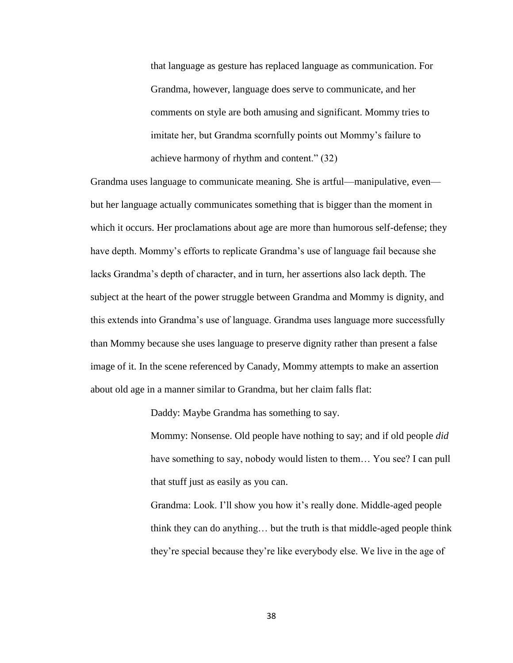that language as gesture has replaced language as communication. For Grandma, however, language does serve to communicate, and her comments on style are both amusing and significant. Mommy tries to imitate her, but Grandma scornfully points out Mommy's failure to achieve harmony of rhythm and content." (32)

Grandma uses language to communicate meaning. She is artful—manipulative, even but her language actually communicates something that is bigger than the moment in which it occurs. Her proclamations about age are more than humorous self-defense; they have depth. Mommy's efforts to replicate Grandma's use of language fail because she lacks Grandma's depth of character, and in turn, her assertions also lack depth. The subject at the heart of the power struggle between Grandma and Mommy is dignity, and this extends into Grandma's use of language. Grandma uses language more successfully than Mommy because she uses language to preserve dignity rather than present a false image of it. In the scene referenced by Canady, Mommy attempts to make an assertion about old age in a manner similar to Grandma, but her claim falls flat:

Daddy: Maybe Grandma has something to say.

Mommy: Nonsense. Old people have nothing to say; and if old people *did*  have something to say, nobody would listen to them… You see? I can pull that stuff just as easily as you can.

Grandma: Look. I'll show you how it's really done. Middle-aged people think they can do anything… but the truth is that middle-aged people think they're special because they're like everybody else. We live in the age of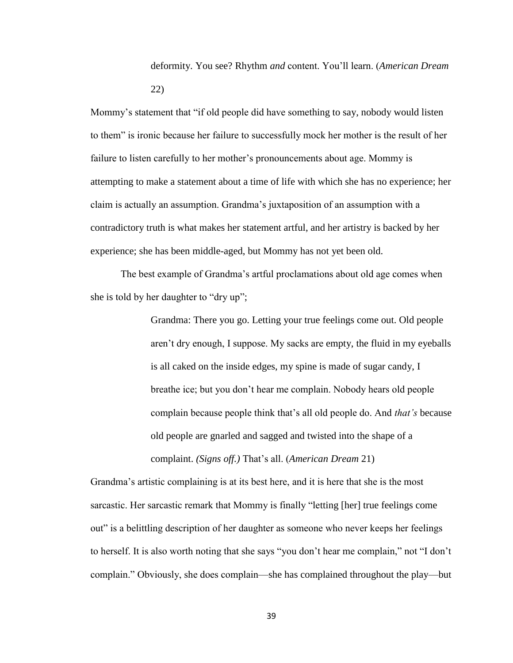deformity. You see? Rhythm *and* content. You'll learn. (*American Dream*  22)

Mommy's statement that "if old people did have something to say, nobody would listen to them" is ironic because her failure to successfully mock her mother is the result of her failure to listen carefully to her mother's pronouncements about age. Mommy is attempting to make a statement about a time of life with which she has no experience; her claim is actually an assumption. Grandma's juxtaposition of an assumption with a contradictory truth is what makes her statement artful, and her artistry is backed by her experience; she has been middle-aged, but Mommy has not yet been old.

The best example of Grandma's artful proclamations about old age comes when she is told by her daughter to "dry up";

> Grandma: There you go. Letting your true feelings come out. Old people aren't dry enough, I suppose. My sacks are empty, the fluid in my eyeballs is all caked on the inside edges, my spine is made of sugar candy, I breathe ice; but you don't hear me complain. Nobody hears old people complain because people think that's all old people do. And *that's* because old people are gnarled and sagged and twisted into the shape of a complaint. *(Signs off.)* That's all. (*American Dream* 21)

Grandma's artistic complaining is at its best here, and it is here that she is the most sarcastic. Her sarcastic remark that Mommy is finally "letting [her] true feelings come out" is a belittling description of her daughter as someone who never keeps her feelings to herself. It is also worth noting that she says "you don't hear me complain," not "I don't complain." Obviously, she does complain—she has complained throughout the play—but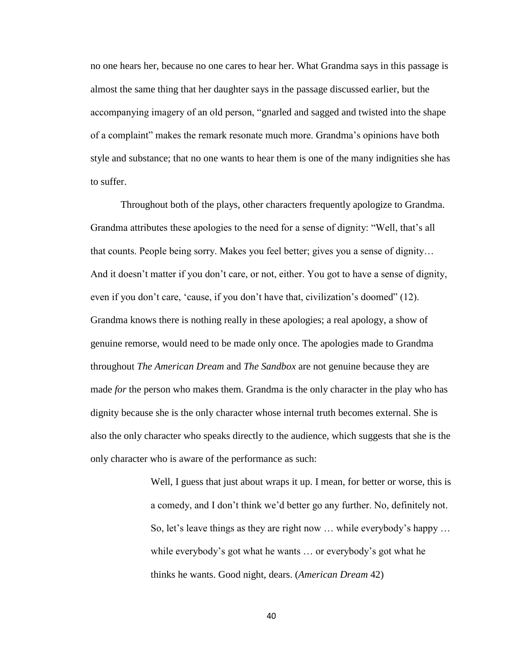no one hears her, because no one cares to hear her. What Grandma says in this passage is almost the same thing that her daughter says in the passage discussed earlier, but the accompanying imagery of an old person, "gnarled and sagged and twisted into the shape of a complaint" makes the remark resonate much more. Grandma's opinions have both style and substance; that no one wants to hear them is one of the many indignities she has to suffer.

Throughout both of the plays, other characters frequently apologize to Grandma. Grandma attributes these apologies to the need for a sense of dignity: "Well, that's all that counts. People being sorry. Makes you feel better; gives you a sense of dignity… And it doesn't matter if you don't care, or not, either. You got to have a sense of dignity, even if you don't care, 'cause, if you don't have that, civilization's doomed" (12). Grandma knows there is nothing really in these apologies; a real apology, a show of genuine remorse, would need to be made only once. The apologies made to Grandma throughout *The American Dream* and *The Sandbox* are not genuine because they are made *for* the person who makes them. Grandma is the only character in the play who has dignity because she is the only character whose internal truth becomes external. She is also the only character who speaks directly to the audience, which suggests that she is the only character who is aware of the performance as such:

> Well, I guess that just about wraps it up. I mean, for better or worse, this is a comedy, and I don't think we'd better go any further. No, definitely not. So, let's leave things as they are right now … while everybody's happy … while everybody's got what he wants … or everybody's got what he thinks he wants. Good night, dears. (*American Dream* 42)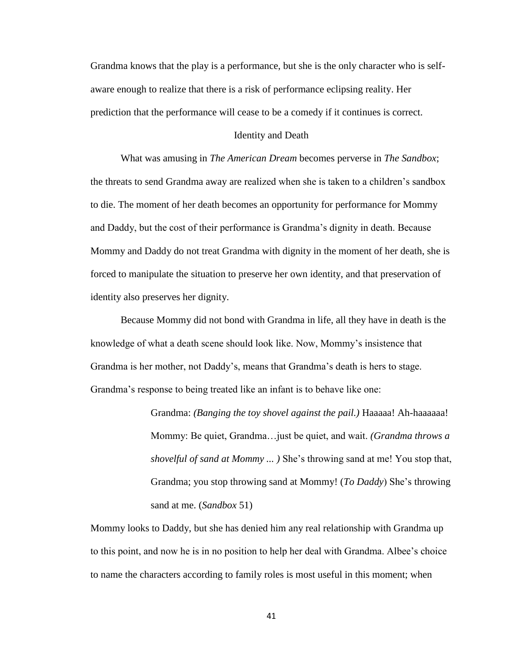Grandma knows that the play is a performance, but she is the only character who is selfaware enough to realize that there is a risk of performance eclipsing reality. Her prediction that the performance will cease to be a comedy if it continues is correct.

#### Identity and Death

What was amusing in *The American Dream* becomes perverse in *The Sandbox*; the threats to send Grandma away are realized when she is taken to a children's sandbox to die. The moment of her death becomes an opportunity for performance for Mommy and Daddy, but the cost of their performance is Grandma's dignity in death. Because Mommy and Daddy do not treat Grandma with dignity in the moment of her death, she is forced to manipulate the situation to preserve her own identity, and that preservation of identity also preserves her dignity.

Because Mommy did not bond with Grandma in life, all they have in death is the knowledge of what a death scene should look like. Now, Mommy's insistence that Grandma is her mother, not Daddy's, means that Grandma's death is hers to stage. Grandma's response to being treated like an infant is to behave like one:

> Grandma: *(Banging the toy shovel against the pail.)* Haaaaa! Ah-haaaaaa! Mommy: Be quiet, Grandma…just be quiet, and wait. *(Grandma throws a shovelful of sand at Mommy ... )* She's throwing sand at me! You stop that, Grandma; you stop throwing sand at Mommy! (*To Daddy*) She's throwing sand at me. (*Sandbox* 51)

Mommy looks to Daddy, but she has denied him any real relationship with Grandma up to this point, and now he is in no position to help her deal with Grandma. Albee's choice to name the characters according to family roles is most useful in this moment; when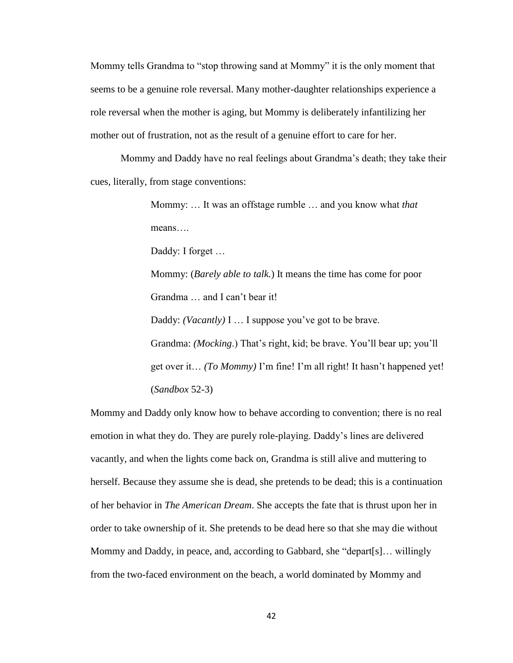Mommy tells Grandma to "stop throwing sand at Mommy" it is the only moment that seems to be a genuine role reversal. Many mother-daughter relationships experience a role reversal when the mother is aging, but Mommy is deliberately infantilizing her mother out of frustration, not as the result of a genuine effort to care for her.

Mommy and Daddy have no real feelings about Grandma's death; they take their cues, literally, from stage conventions:

> Mommy: … It was an offstage rumble … and you know what *that* means….

Daddy: I forget …

Mommy: (*Barely able to talk.*) It means the time has come for poor Grandma … and I can't bear it!

Daddy: *(Vacantly)* I … I suppose you've got to be brave.

Grandma: *(Mocking*.) That's right, kid; be brave. You'll bear up; you'll get over it… *(To Mommy)* I'm fine! I'm all right! It hasn't happened yet! (*Sandbox* 52-3)

Mommy and Daddy only know how to behave according to convention; there is no real emotion in what they do. They are purely role-playing. Daddy's lines are delivered vacantly, and when the lights come back on, Grandma is still alive and muttering to herself. Because they assume she is dead, she pretends to be dead; this is a continuation of her behavior in *The American Dream*. She accepts the fate that is thrust upon her in order to take ownership of it. She pretends to be dead here so that she may die without Mommy and Daddy, in peace, and, according to Gabbard, she "depart[s]… willingly from the two-faced environment on the beach, a world dominated by Mommy and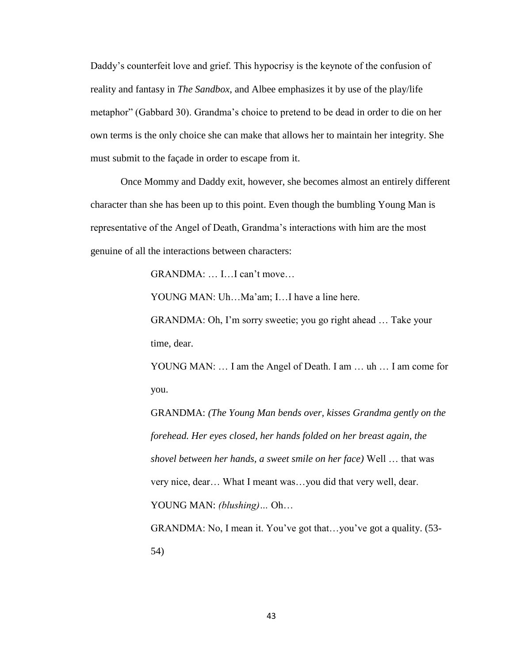Daddy's counterfeit love and grief. This hypocrisy is the keynote of the confusion of reality and fantasy in *The Sandbox*, and Albee emphasizes it by use of the play/life metaphor" (Gabbard 30). Grandma's choice to pretend to be dead in order to die on her own terms is the only choice she can make that allows her to maintain her integrity. She must submit to the façade in order to escape from it.

Once Mommy and Daddy exit, however, she becomes almost an entirely different character than she has been up to this point. Even though the bumbling Young Man is representative of the Angel of Death, Grandma's interactions with him are the most genuine of all the interactions between characters:

GRANDMA: … I…I can't move…

YOUNG MAN: Uh…Ma'am; I…I have a line here.

GRANDMA: Oh, I'm sorry sweetie; you go right ahead … Take your time, dear.

YOUNG MAN: ... I am the Angel of Death. I am ... uh ... I am come for you.

GRANDMA: *(The Young Man bends over, kisses Grandma gently on the forehead. Her eyes closed, her hands folded on her breast again, the shovel between her hands, a sweet smile on her face)* Well … that was very nice, dear… What I meant was…you did that very well, dear. YOUNG MAN: *(blushing)…* Oh…

GRANDMA: No, I mean it. You've got that…you've got a quality. (53- 54)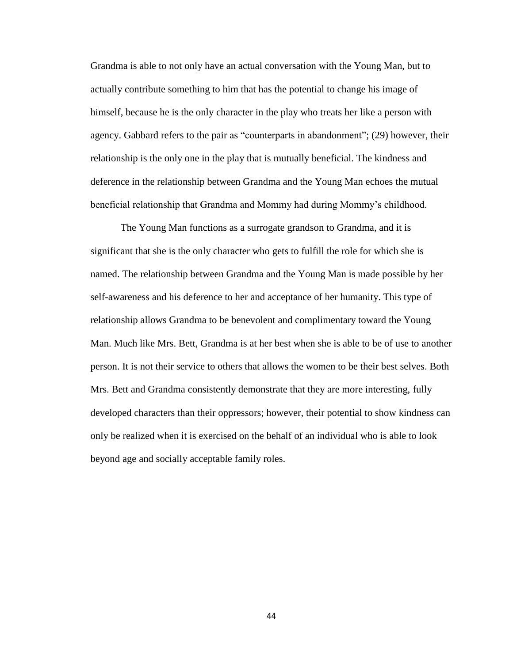Grandma is able to not only have an actual conversation with the Young Man, but to actually contribute something to him that has the potential to change his image of himself, because he is the only character in the play who treats her like a person with agency. Gabbard refers to the pair as "counterparts in abandonment"; (29) however, their relationship is the only one in the play that is mutually beneficial. The kindness and deference in the relationship between Grandma and the Young Man echoes the mutual beneficial relationship that Grandma and Mommy had during Mommy's childhood.

The Young Man functions as a surrogate grandson to Grandma, and it is significant that she is the only character who gets to fulfill the role for which she is named. The relationship between Grandma and the Young Man is made possible by her self-awareness and his deference to her and acceptance of her humanity. This type of relationship allows Grandma to be benevolent and complimentary toward the Young Man. Much like Mrs. Bett, Grandma is at her best when she is able to be of use to another person. It is not their service to others that allows the women to be their best selves. Both Mrs. Bett and Grandma consistently demonstrate that they are more interesting, fully developed characters than their oppressors; however, their potential to show kindness can only be realized when it is exercised on the behalf of an individual who is able to look beyond age and socially acceptable family roles.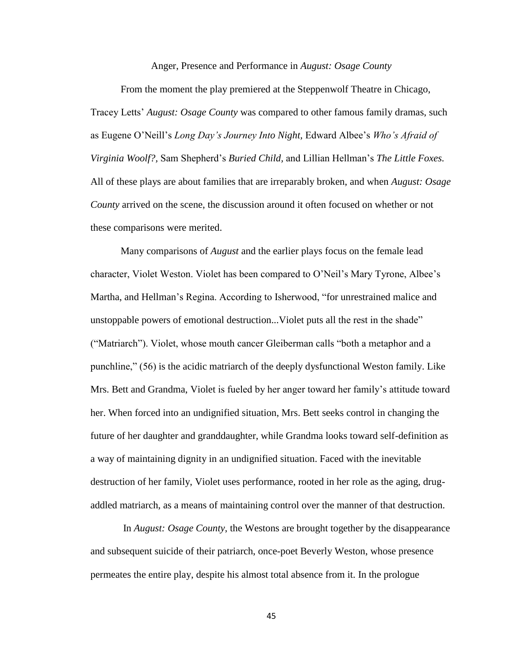Anger, Presence and Performance in *August: Osage County*

From the moment the play premiered at the Steppenwolf Theatre in Chicago, Tracey Letts' *August: Osage County* was compared to other famous family dramas, such as Eugene O'Neill's *Long Day's Journey Into Night,* Edward Albee's *Who's Afraid of Virginia Woolf?,* Sam Shepherd's *Buried Child,* and Lillian Hellman's *The Little Foxes.*  All of these plays are about families that are irreparably broken, and when *August: Osage County* arrived on the scene, the discussion around it often focused on whether or not these comparisons were merited.

Many comparisons of *August* and the earlier plays focus on the female lead character, Violet Weston. Violet has been compared to O'Neil's Mary Tyrone, Albee's Martha, and Hellman's Regina. According to Isherwood, "for unrestrained malice and unstoppable powers of emotional destruction...Violet puts all the rest in the shade" ("Matriarch"). Violet, whose mouth cancer Gleiberman calls "both a metaphor and a punchline," (56) is the acidic matriarch of the deeply dysfunctional Weston family. Like Mrs. Bett and Grandma, Violet is fueled by her anger toward her family's attitude toward her. When forced into an undignified situation, Mrs. Bett seeks control in changing the future of her daughter and granddaughter, while Grandma looks toward self-definition as a way of maintaining dignity in an undignified situation. Faced with the inevitable destruction of her family, Violet uses performance, rooted in her role as the aging, drugaddled matriarch, as a means of maintaining control over the manner of that destruction.

In *August: Osage County*, the Westons are brought together by the disappearance and subsequent suicide of their patriarch, once-poet Beverly Weston, whose presence permeates the entire play, despite his almost total absence from it. In the prologue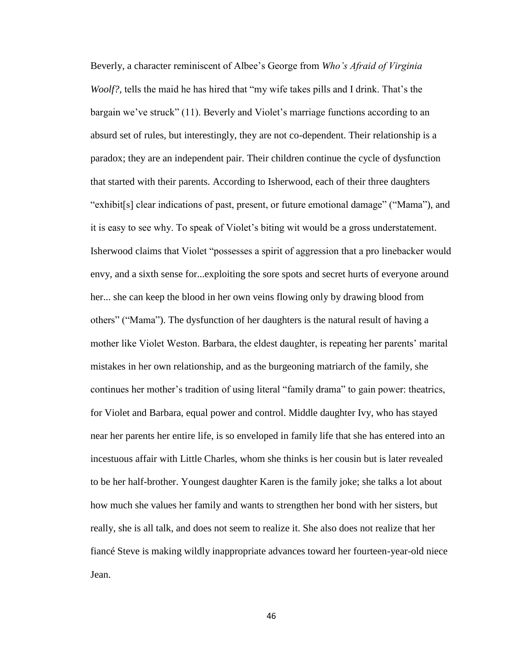Beverly, a character reminiscent of Albee's George from *Who's Afraid of Virginia Woolf?*, tells the maid he has hired that "my wife takes pills and I drink. That's the bargain we've struck" (11). Beverly and Violet's marriage functions according to an absurd set of rules, but interestingly, they are not co-dependent. Their relationship is a paradox; they are an independent pair. Their children continue the cycle of dysfunction that started with their parents. According to Isherwood, each of their three daughters "exhibit[s] clear indications of past, present, or future emotional damage" ("Mama"), and it is easy to see why. To speak of Violet's biting wit would be a gross understatement. Isherwood claims that Violet "possesses a spirit of aggression that a pro linebacker would envy, and a sixth sense for...exploiting the sore spots and secret hurts of everyone around her... she can keep the blood in her own veins flowing only by drawing blood from others" ("Mama"). The dysfunction of her daughters is the natural result of having a mother like Violet Weston. Barbara, the eldest daughter, is repeating her parents' marital mistakes in her own relationship, and as the burgeoning matriarch of the family, she continues her mother's tradition of using literal "family drama" to gain power: theatrics, for Violet and Barbara, equal power and control. Middle daughter Ivy, who has stayed near her parents her entire life, is so enveloped in family life that she has entered into an incestuous affair with Little Charles, whom she thinks is her cousin but is later revealed to be her half-brother. Youngest daughter Karen is the family joke; she talks a lot about how much she values her family and wants to strengthen her bond with her sisters, but really, she is all talk, and does not seem to realize it. She also does not realize that her fiancé Steve is making wildly inappropriate advances toward her fourteen-year-old niece Jean.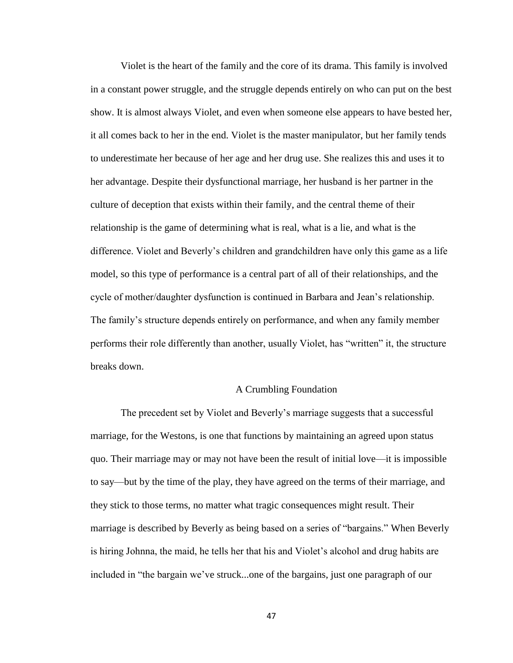Violet is the heart of the family and the core of its drama. This family is involved in a constant power struggle, and the struggle depends entirely on who can put on the best show. It is almost always Violet, and even when someone else appears to have bested her, it all comes back to her in the end. Violet is the master manipulator, but her family tends to underestimate her because of her age and her drug use. She realizes this and uses it to her advantage. Despite their dysfunctional marriage, her husband is her partner in the culture of deception that exists within their family, and the central theme of their relationship is the game of determining what is real, what is a lie, and what is the difference. Violet and Beverly's children and grandchildren have only this game as a life model, so this type of performance is a central part of all of their relationships, and the cycle of mother/daughter dysfunction is continued in Barbara and Jean's relationship. The family's structure depends entirely on performance, and when any family member performs their role differently than another, usually Violet, has "written" it, the structure breaks down.

## A Crumbling Foundation

The precedent set by Violet and Beverly's marriage suggests that a successful marriage, for the Westons, is one that functions by maintaining an agreed upon status quo. Their marriage may or may not have been the result of initial love—it is impossible to say—but by the time of the play, they have agreed on the terms of their marriage, and they stick to those terms, no matter what tragic consequences might result. Their marriage is described by Beverly as being based on a series of "bargains." When Beverly is hiring Johnna, the maid, he tells her that his and Violet's alcohol and drug habits are included in "the bargain we've struck...one of the bargains, just one paragraph of our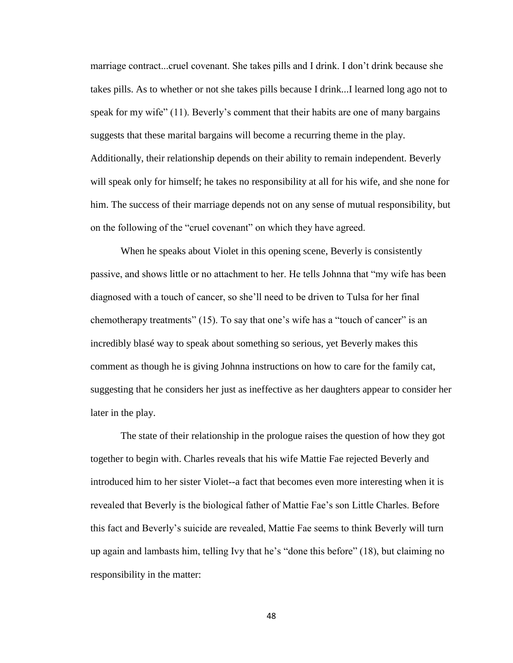marriage contract...cruel covenant. She takes pills and I drink. I don't drink because she takes pills. As to whether or not she takes pills because I drink...I learned long ago not to speak for my wife" (11). Beverly's comment that their habits are one of many bargains suggests that these marital bargains will become a recurring theme in the play. Additionally, their relationship depends on their ability to remain independent. Beverly will speak only for himself; he takes no responsibility at all for his wife, and she none for him. The success of their marriage depends not on any sense of mutual responsibility, but on the following of the "cruel covenant" on which they have agreed.

When he speaks about Violet in this opening scene, Beverly is consistently passive, and shows little or no attachment to her. He tells Johnna that "my wife has been diagnosed with a touch of cancer, so she'll need to be driven to Tulsa for her final chemotherapy treatments" (15). To say that one's wife has a "touch of cancer" is an incredibly blasé way to speak about something so serious, yet Beverly makes this comment as though he is giving Johnna instructions on how to care for the family cat, suggesting that he considers her just as ineffective as her daughters appear to consider her later in the play.

The state of their relationship in the prologue raises the question of how they got together to begin with. Charles reveals that his wife Mattie Fae rejected Beverly and introduced him to her sister Violet--a fact that becomes even more interesting when it is revealed that Beverly is the biological father of Mattie Fae's son Little Charles. Before this fact and Beverly's suicide are revealed, Mattie Fae seems to think Beverly will turn up again and lambasts him, telling Ivy that he's "done this before" (18), but claiming no responsibility in the matter: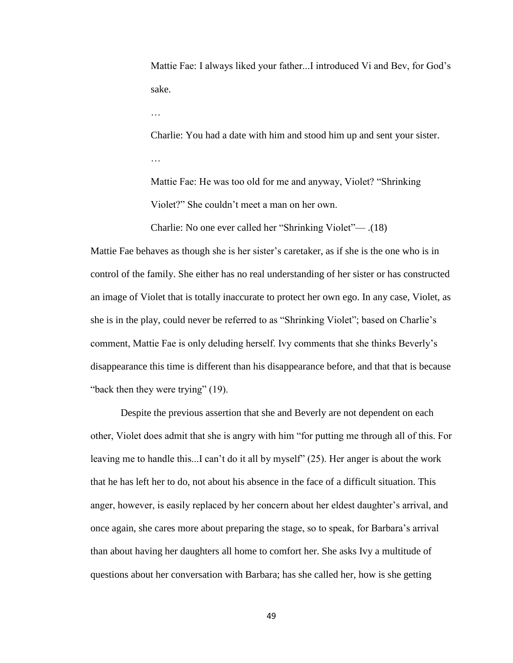Mattie Fae: I always liked your father...I introduced Vi and Bev, for God's sake.

…

Charlie: You had a date with him and stood him up and sent your sister.

Mattie Fae: He was too old for me and anyway, Violet? "Shrinking Violet?" She couldn't meet a man on her own.

Charlie: No one ever called her "Shrinking Violet"— .(18)

Mattie Fae behaves as though she is her sister's caretaker, as if she is the one who is in control of the family. She either has no real understanding of her sister or has constructed an image of Violet that is totally inaccurate to protect her own ego. In any case, Violet, as she is in the play, could never be referred to as "Shrinking Violet"; based on Charlie's comment, Mattie Fae is only deluding herself. Ivy comments that she thinks Beverly's disappearance this time is different than his disappearance before, and that that is because "back then they were trying" (19).

Despite the previous assertion that she and Beverly are not dependent on each other, Violet does admit that she is angry with him "for putting me through all of this. For leaving me to handle this...I can't do it all by myself" (25). Her anger is about the work that he has left her to do, not about his absence in the face of a difficult situation. This anger, however, is easily replaced by her concern about her eldest daughter's arrival, and once again, she cares more about preparing the stage, so to speak, for Barbara's arrival than about having her daughters all home to comfort her. She asks Ivy a multitude of questions about her conversation with Barbara; has she called her, how is she getting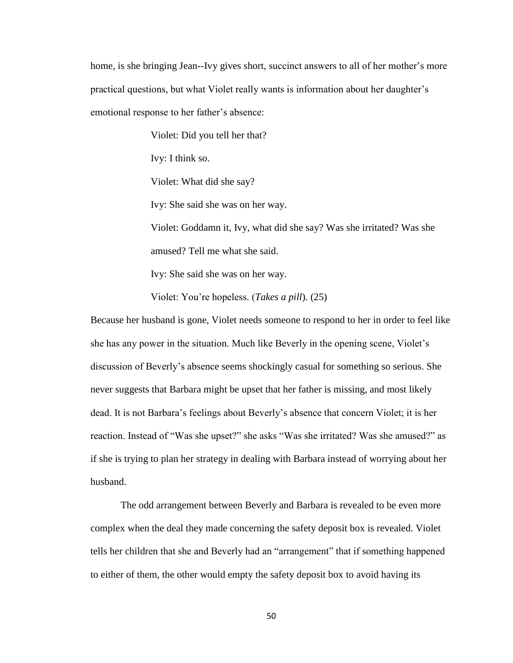home, is she bringing Jean--Ivy gives short, succinct answers to all of her mother's more practical questions, but what Violet really wants is information about her daughter's emotional response to her father's absence:

Violet: Did you tell her that?

Ivy: I think so.

Violet: What did she say?

Ivy: She said she was on her way.

Violet: Goddamn it, Ivy, what did she say? Was she irritated? Was she amused? Tell me what she said.

Ivy: She said she was on her way.

Violet: You're hopeless. (*Takes a pill*). (25)

Because her husband is gone, Violet needs someone to respond to her in order to feel like she has any power in the situation. Much like Beverly in the opening scene, Violet's discussion of Beverly's absence seems shockingly casual for something so serious. She never suggests that Barbara might be upset that her father is missing, and most likely dead. It is not Barbara's feelings about Beverly's absence that concern Violet; it is her reaction. Instead of "Was she upset?" she asks "Was she irritated? Was she amused?" as if she is trying to plan her strategy in dealing with Barbara instead of worrying about her husband.

The odd arrangement between Beverly and Barbara is revealed to be even more complex when the deal they made concerning the safety deposit box is revealed. Violet tells her children that she and Beverly had an "arrangement" that if something happened to either of them, the other would empty the safety deposit box to avoid having its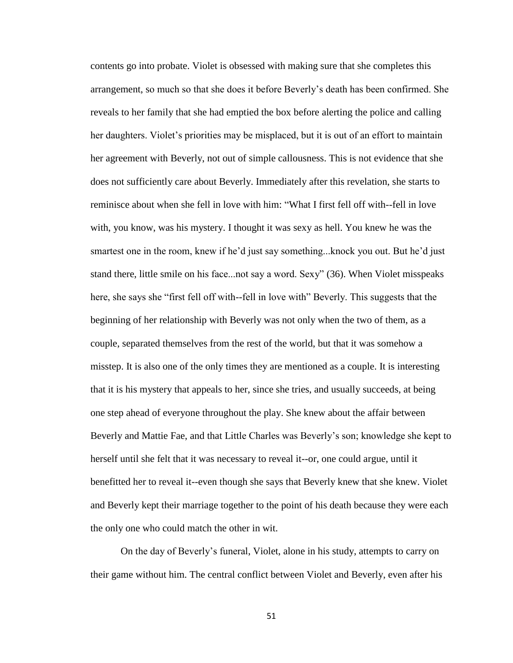contents go into probate. Violet is obsessed with making sure that she completes this arrangement, so much so that she does it before Beverly's death has been confirmed. She reveals to her family that she had emptied the box before alerting the police and calling her daughters. Violet's priorities may be misplaced, but it is out of an effort to maintain her agreement with Beverly, not out of simple callousness. This is not evidence that she does not sufficiently care about Beverly. Immediately after this revelation, she starts to reminisce about when she fell in love with him: "What I first fell off with--fell in love with, you know, was his mystery. I thought it was sexy as hell. You knew he was the smartest one in the room, knew if he'd just say something...knock you out. But he'd just stand there, little smile on his face...not say a word. Sexy" (36). When Violet misspeaks here, she says she "first fell off with--fell in love with" Beverly. This suggests that the beginning of her relationship with Beverly was not only when the two of them, as a couple, separated themselves from the rest of the world, but that it was somehow a misstep. It is also one of the only times they are mentioned as a couple. It is interesting that it is his mystery that appeals to her, since she tries, and usually succeeds, at being one step ahead of everyone throughout the play. She knew about the affair between Beverly and Mattie Fae, and that Little Charles was Beverly's son; knowledge she kept to herself until she felt that it was necessary to reveal it--or, one could argue, until it benefitted her to reveal it--even though she says that Beverly knew that she knew. Violet and Beverly kept their marriage together to the point of his death because they were each the only one who could match the other in wit.

On the day of Beverly's funeral, Violet, alone in his study, attempts to carry on their game without him. The central conflict between Violet and Beverly, even after his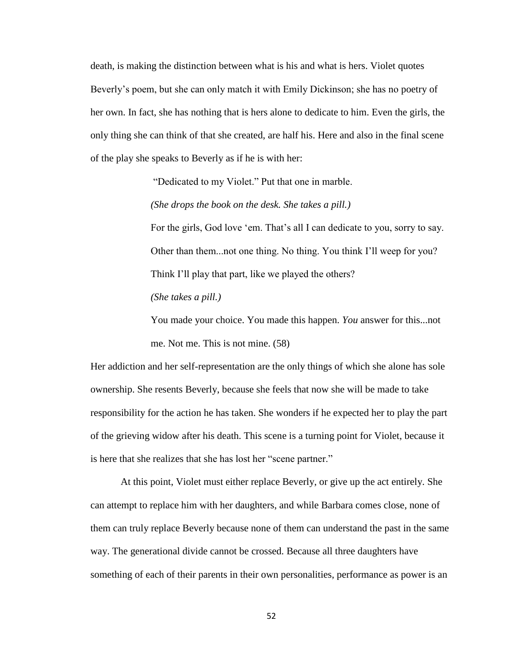death, is making the distinction between what is his and what is hers. Violet quotes Beverly's poem, but she can only match it with Emily Dickinson; she has no poetry of her own. In fact, she has nothing that is hers alone to dedicate to him. Even the girls, the only thing she can think of that she created, are half his. Here and also in the final scene of the play she speaks to Beverly as if he is with her:

"Dedicated to my Violet." Put that one in marble.

*(She drops the book on the desk. She takes a pill.)*

For the girls, God love 'em. That's all I can dedicate to you, sorry to say. Other than them...not one thing. No thing. You think I'll weep for you? Think I'll play that part, like we played the others?

*(She takes a pill.)*

You made your choice. You made this happen. *You* answer for this...not me. Not me. This is not mine. (58)

Her addiction and her self-representation are the only things of which she alone has sole ownership. She resents Beverly, because she feels that now she will be made to take responsibility for the action he has taken. She wonders if he expected her to play the part of the grieving widow after his death. This scene is a turning point for Violet, because it is here that she realizes that she has lost her "scene partner."

At this point, Violet must either replace Beverly, or give up the act entirely. She can attempt to replace him with her daughters, and while Barbara comes close, none of them can truly replace Beverly because none of them can understand the past in the same way. The generational divide cannot be crossed. Because all three daughters have something of each of their parents in their own personalities, performance as power is an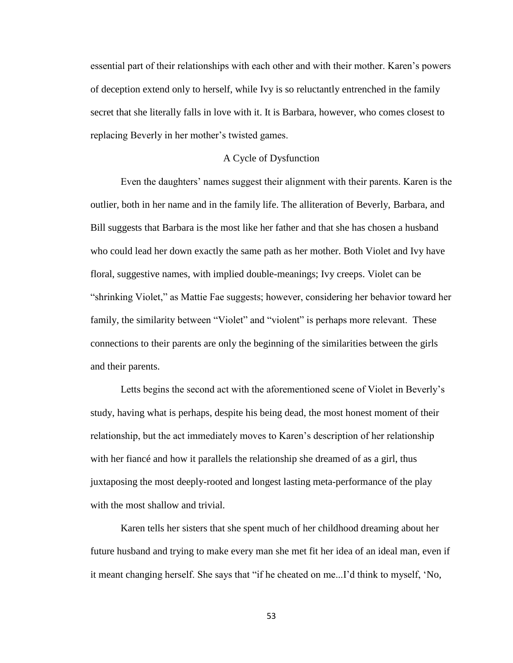essential part of their relationships with each other and with their mother. Karen's powers of deception extend only to herself, while Ivy is so reluctantly entrenched in the family secret that she literally falls in love with it. It is Barbara, however, who comes closest to replacing Beverly in her mother's twisted games.

## A Cycle of Dysfunction

Even the daughters' names suggest their alignment with their parents. Karen is the outlier, both in her name and in the family life. The alliteration of Beverly, Barbara, and Bill suggests that Barbara is the most like her father and that she has chosen a husband who could lead her down exactly the same path as her mother. Both Violet and Ivy have floral, suggestive names, with implied double-meanings; Ivy creeps. Violet can be "shrinking Violet," as Mattie Fae suggests; however, considering her behavior toward her family, the similarity between "Violet" and "violent" is perhaps more relevant. These connections to their parents are only the beginning of the similarities between the girls and their parents.

Letts begins the second act with the aforementioned scene of Violet in Beverly's study, having what is perhaps, despite his being dead, the most honest moment of their relationship, but the act immediately moves to Karen's description of her relationship with her fiancé and how it parallels the relationship she dreamed of as a girl, thus juxtaposing the most deeply-rooted and longest lasting meta-performance of the play with the most shallow and trivial.

Karen tells her sisters that she spent much of her childhood dreaming about her future husband and trying to make every man she met fit her idea of an ideal man, even if it meant changing herself. She says that "if he cheated on me...I'd think to myself, 'No,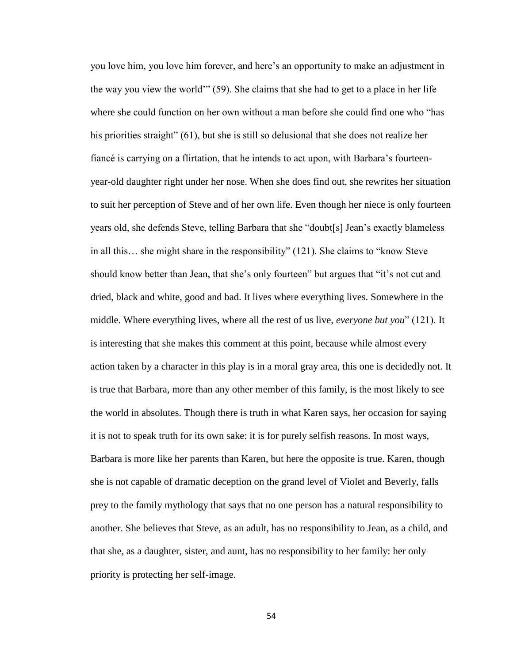you love him, you love him forever, and here's an opportunity to make an adjustment in the way you view the world'" (59). She claims that she had to get to a place in her life where she could function on her own without a man before she could find one who "has his priorities straight" (61), but she is still so delusional that she does not realize her fiancé is carrying on a flirtation, that he intends to act upon, with Barbara's fourteenyear-old daughter right under her nose. When she does find out, she rewrites her situation to suit her perception of Steve and of her own life. Even though her niece is only fourteen years old, she defends Steve, telling Barbara that she "doubt[s] Jean's exactly blameless in all this… she might share in the responsibility" (121). She claims to "know Steve should know better than Jean, that she's only fourteen" but argues that "it's not cut and dried, black and white, good and bad. It lives where everything lives. Somewhere in the middle. Where everything lives, where all the rest of us live, *everyone but you*" (121). It is interesting that she makes this comment at this point, because while almost every action taken by a character in this play is in a moral gray area, this one is decidedly not. It is true that Barbara, more than any other member of this family, is the most likely to see the world in absolutes. Though there is truth in what Karen says, her occasion for saying it is not to speak truth for its own sake: it is for purely selfish reasons. In most ways, Barbara is more like her parents than Karen, but here the opposite is true. Karen, though she is not capable of dramatic deception on the grand level of Violet and Beverly, falls prey to the family mythology that says that no one person has a natural responsibility to another. She believes that Steve, as an adult, has no responsibility to Jean, as a child, and that she, as a daughter, sister, and aunt, has no responsibility to her family: her only priority is protecting her self-image.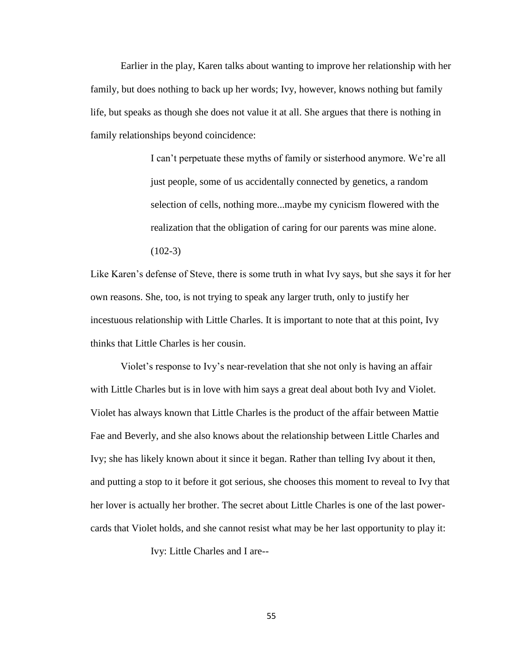Earlier in the play, Karen talks about wanting to improve her relationship with her family, but does nothing to back up her words; Ivy, however, knows nothing but family life, but speaks as though she does not value it at all. She argues that there is nothing in family relationships beyond coincidence:

> I can't perpetuate these myths of family or sisterhood anymore. We're all just people, some of us accidentally connected by genetics, a random selection of cells, nothing more...maybe my cynicism flowered with the realization that the obligation of caring for our parents was mine alone.  $(102-3)$

Like Karen's defense of Steve, there is some truth in what Ivy says, but she says it for her own reasons. She, too, is not trying to speak any larger truth, only to justify her incestuous relationship with Little Charles. It is important to note that at this point, Ivy thinks that Little Charles is her cousin.

Violet's response to Ivy's near-revelation that she not only is having an affair with Little Charles but is in love with him says a great deal about both Ivy and Violet. Violet has always known that Little Charles is the product of the affair between Mattie Fae and Beverly, and she also knows about the relationship between Little Charles and Ivy; she has likely known about it since it began. Rather than telling Ivy about it then, and putting a stop to it before it got serious, she chooses this moment to reveal to Ivy that her lover is actually her brother. The secret about Little Charles is one of the last powercards that Violet holds, and she cannot resist what may be her last opportunity to play it:

Ivy: Little Charles and I are--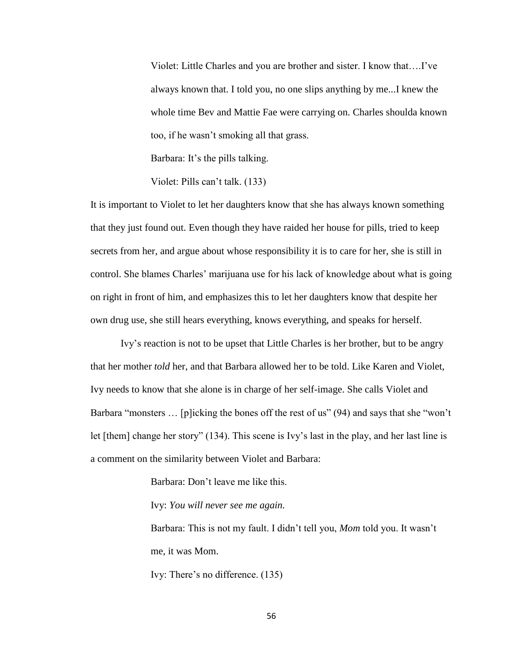Violet: Little Charles and you are brother and sister. I know that….I've always known that. I told you, no one slips anything by me...I knew the whole time Bev and Mattie Fae were carrying on. Charles shoulda known too, if he wasn't smoking all that grass.

Barbara: It's the pills talking.

Violet: Pills can't talk. (133)

It is important to Violet to let her daughters know that she has always known something that they just found out. Even though they have raided her house for pills, tried to keep secrets from her, and argue about whose responsibility it is to care for her, she is still in control. She blames Charles' marijuana use for his lack of knowledge about what is going on right in front of him, and emphasizes this to let her daughters know that despite her own drug use, she still hears everything, knows everything, and speaks for herself.

Ivy's reaction is not to be upset that Little Charles is her brother, but to be angry that her mother *told* her, and that Barbara allowed her to be told. Like Karen and Violet, Ivy needs to know that she alone is in charge of her self-image. She calls Violet and Barbara "monsters ... [p]icking the bones off the rest of us" (94) and says that she "won't let [them] change her story" (134). This scene is Ivy's last in the play, and her last line is a comment on the similarity between Violet and Barbara:

Barbara: Don't leave me like this.

Ivy: *You will never see me again.*

Barbara: This is not my fault. I didn't tell you, *Mom* told you. It wasn't me, it was Mom.

Ivy: There's no difference. (135)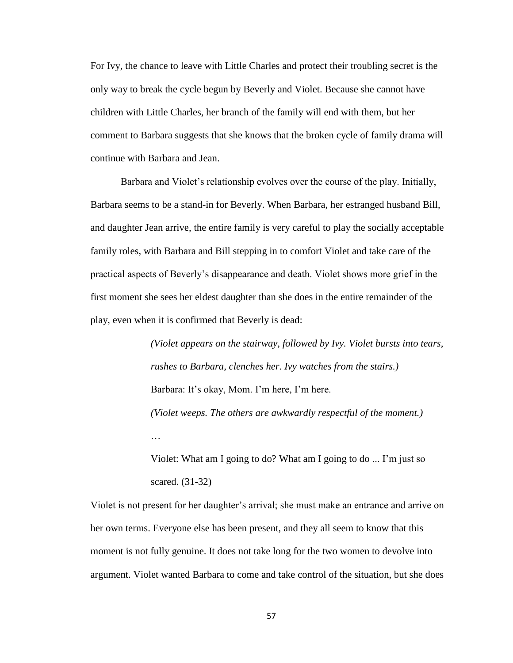For Ivy, the chance to leave with Little Charles and protect their troubling secret is the only way to break the cycle begun by Beverly and Violet. Because she cannot have children with Little Charles, her branch of the family will end with them, but her comment to Barbara suggests that she knows that the broken cycle of family drama will continue with Barbara and Jean.

Barbara and Violet's relationship evolves over the course of the play. Initially, Barbara seems to be a stand-in for Beverly. When Barbara, her estranged husband Bill, and daughter Jean arrive, the entire family is very careful to play the socially acceptable family roles, with Barbara and Bill stepping in to comfort Violet and take care of the practical aspects of Beverly's disappearance and death. Violet shows more grief in the first moment she sees her eldest daughter than she does in the entire remainder of the play, even when it is confirmed that Beverly is dead:

> *(Violet appears on the stairway, followed by Ivy. Violet bursts into tears, rushes to Barbara, clenches her. Ivy watches from the stairs.)* Barbara: It's okay, Mom. I'm here, I'm here. *(Violet weeps. The others are awkwardly respectful of the moment.)* … Violet: What am I going to do? What am I going to do ... I'm just so

scared. (31-32)

Violet is not present for her daughter's arrival; she must make an entrance and arrive on her own terms. Everyone else has been present, and they all seem to know that this moment is not fully genuine. It does not take long for the two women to devolve into argument. Violet wanted Barbara to come and take control of the situation, but she does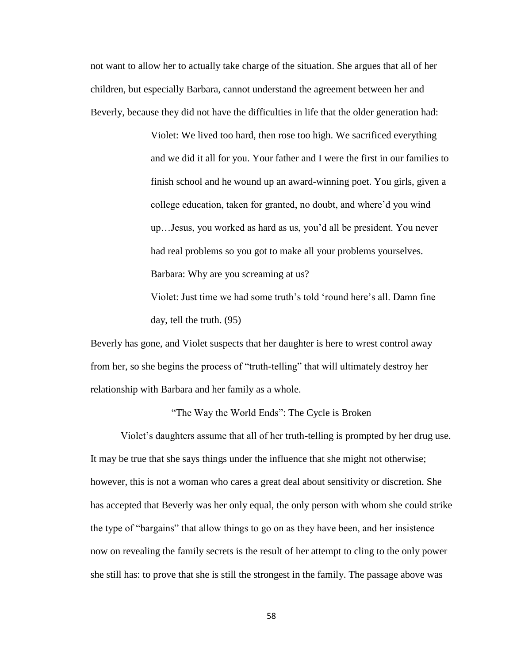not want to allow her to actually take charge of the situation. She argues that all of her children, but especially Barbara, cannot understand the agreement between her and Beverly, because they did not have the difficulties in life that the older generation had:

> Violet: We lived too hard, then rose too high. We sacrificed everything and we did it all for you. Your father and I were the first in our families to finish school and he wound up an award-winning poet. You girls, given a college education, taken for granted, no doubt, and where'd you wind up…Jesus, you worked as hard as us, you'd all be president. You never had real problems so you got to make all your problems yourselves. Barbara: Why are you screaming at us?

Violet: Just time we had some truth's told 'round here's all. Damn fine day, tell the truth. (95)

Beverly has gone, and Violet suspects that her daughter is here to wrest control away from her, so she begins the process of "truth-telling" that will ultimately destroy her relationship with Barbara and her family as a whole.

"The Way the World Ends": The Cycle is Broken

Violet's daughters assume that all of her truth-telling is prompted by her drug use. It may be true that she says things under the influence that she might not otherwise; however, this is not a woman who cares a great deal about sensitivity or discretion. She has accepted that Beverly was her only equal, the only person with whom she could strike the type of "bargains" that allow things to go on as they have been, and her insistence now on revealing the family secrets is the result of her attempt to cling to the only power she still has: to prove that she is still the strongest in the family. The passage above was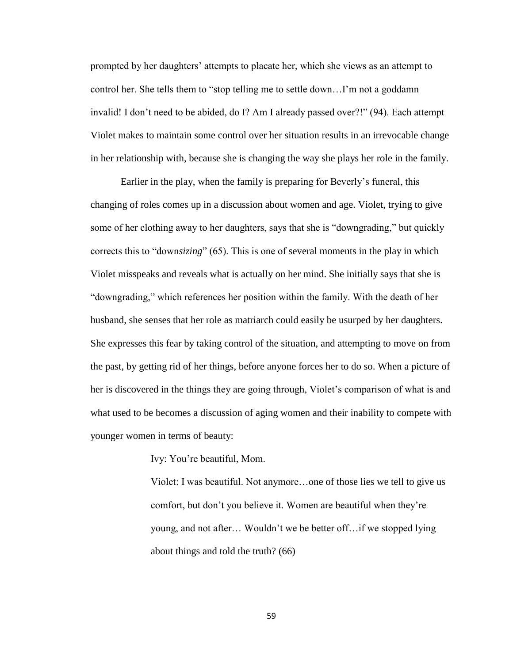prompted by her daughters' attempts to placate her, which she views as an attempt to control her. She tells them to "stop telling me to settle down…I'm not a goddamn invalid! I don't need to be abided, do I? Am I already passed over?!" (94). Each attempt Violet makes to maintain some control over her situation results in an irrevocable change in her relationship with, because she is changing the way she plays her role in the family.

Earlier in the play, when the family is preparing for Beverly's funeral, this changing of roles comes up in a discussion about women and age. Violet, trying to give some of her clothing away to her daughters, says that she is "downgrading," but quickly corrects this to "down*sizing*" (65). This is one of several moments in the play in which Violet misspeaks and reveals what is actually on her mind. She initially says that she is "downgrading," which references her position within the family. With the death of her husband, she senses that her role as matriarch could easily be usurped by her daughters. She expresses this fear by taking control of the situation, and attempting to move on from the past, by getting rid of her things, before anyone forces her to do so. When a picture of her is discovered in the things they are going through, Violet's comparison of what is and what used to be becomes a discussion of aging women and their inability to compete with younger women in terms of beauty:

Ivy: You're beautiful, Mom.

Violet: I was beautiful. Not anymore…one of those lies we tell to give us comfort, but don't you believe it. Women are beautiful when they're young, and not after… Wouldn't we be better off…if we stopped lying about things and told the truth? (66)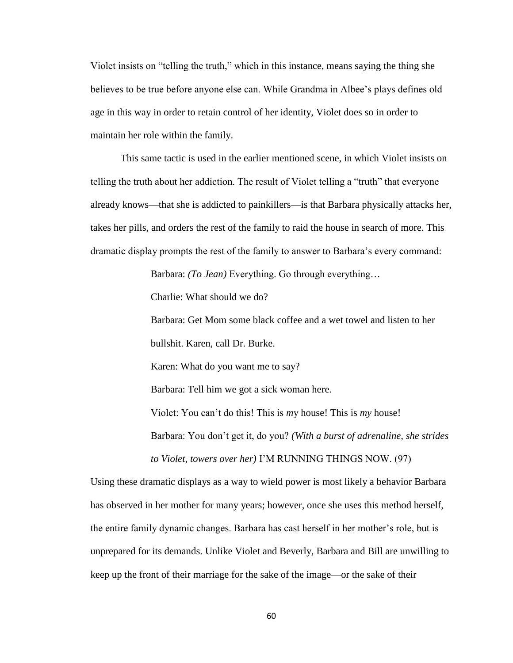Violet insists on "telling the truth," which in this instance, means saying the thing she believes to be true before anyone else can. While Grandma in Albee's plays defines old age in this way in order to retain control of her identity, Violet does so in order to maintain her role within the family.

This same tactic is used in the earlier mentioned scene, in which Violet insists on telling the truth about her addiction. The result of Violet telling a "truth" that everyone already knows—that she is addicted to painkillers—is that Barbara physically attacks her, takes her pills, and orders the rest of the family to raid the house in search of more. This dramatic display prompts the rest of the family to answer to Barbara's every command:

Barbara: *(To Jean)* Everything. Go through everything…

Charlie: What should we do?

Barbara: Get Mom some black coffee and a wet towel and listen to her

bullshit. Karen, call Dr. Burke.

Karen: What do you want me to say?

Barbara: Tell him we got a sick woman here.

Violet: You can't do this! This is *m*y house! This is *my* house! Barbara: You don't get it, do you? *(With a burst of adrenaline, she strides* 

Using these dramatic displays as a way to wield power is most likely a behavior Barbara has observed in her mother for many years; however, once she uses this method herself, the entire family dynamic changes. Barbara has cast herself in her mother's role, but is unprepared for its demands. Unlike Violet and Beverly, Barbara and Bill are unwilling to

*to Violet, towers over her)* I'M RUNNING THINGS NOW. (97)

keep up the front of their marriage for the sake of the image—or the sake of their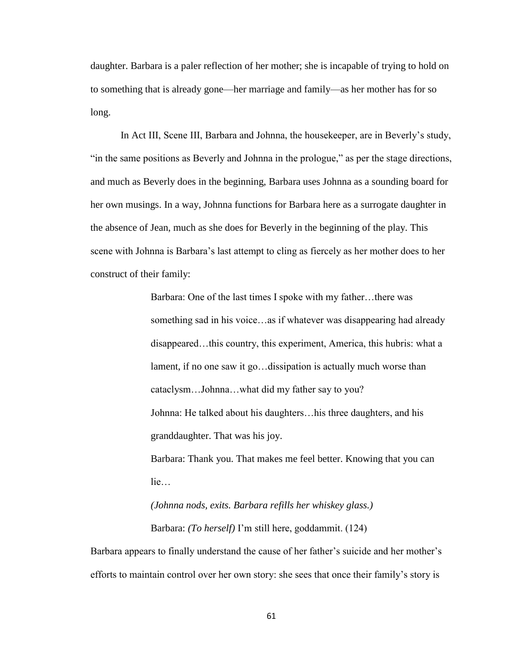daughter. Barbara is a paler reflection of her mother; she is incapable of trying to hold on to something that is already gone—her marriage and family—as her mother has for so long.

In Act III, Scene III, Barbara and Johnna, the housekeeper, are in Beverly's study, "in the same positions as Beverly and Johnna in the prologue," as per the stage directions, and much as Beverly does in the beginning, Barbara uses Johnna as a sounding board for her own musings. In a way, Johnna functions for Barbara here as a surrogate daughter in the absence of Jean, much as she does for Beverly in the beginning of the play. This scene with Johnna is Barbara's last attempt to cling as fiercely as her mother does to her construct of their family:

> Barbara: One of the last times I spoke with my father…there was something sad in his voice…as if whatever was disappearing had already disappeared…this country, this experiment, America, this hubris: what a lament, if no one saw it go…dissipation is actually much worse than cataclysm…Johnna…what did my father say to you? Johnna: He talked about his daughters…his three daughters, and his granddaughter. That was his joy. Barbara: Thank you. That makes me feel better. Knowing that you can

lie…

# *(Johnna nods, exits. Barbara refills her whiskey glass.)*  Barbara: *(To herself)* I'm still here, goddammit. (124)

Barbara appears to finally understand the cause of her father's suicide and her mother's efforts to maintain control over her own story: she sees that once their family's story is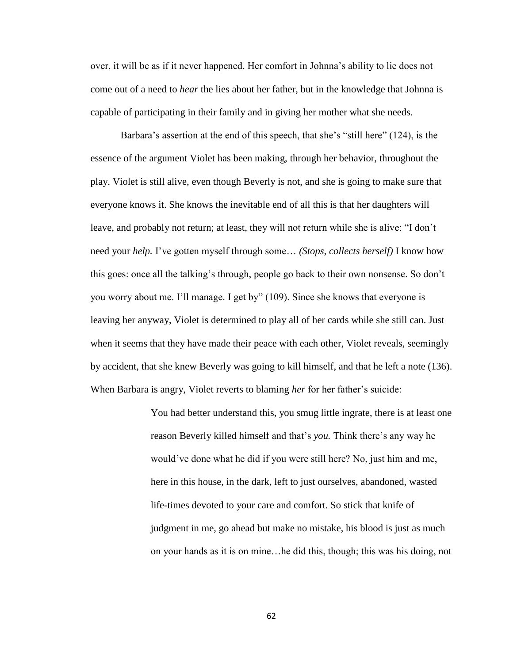over, it will be as if it never happened. Her comfort in Johnna's ability to lie does not come out of a need to *hear* the lies about her father, but in the knowledge that Johnna is capable of participating in their family and in giving her mother what she needs.

Barbara's assertion at the end of this speech, that she's "still here" (124), is the essence of the argument Violet has been making, through her behavior, throughout the play. Violet is still alive, even though Beverly is not, and she is going to make sure that everyone knows it. She knows the inevitable end of all this is that her daughters will leave, and probably not return; at least, they will not return while she is alive: "I don't need your *help.* I've gotten myself through some… *(Stops, collects herself)* I know how this goes: once all the talking's through, people go back to their own nonsense. So don't you worry about me. I'll manage. I get by" (109). Since she knows that everyone is leaving her anyway, Violet is determined to play all of her cards while she still can. Just when it seems that they have made their peace with each other, Violet reveals, seemingly by accident, that she knew Beverly was going to kill himself, and that he left a note (136). When Barbara is angry, Violet reverts to blaming *her* for her father's suicide:

> You had better understand this, you smug little ingrate, there is at least one reason Beverly killed himself and that's *you.* Think there's any way he would've done what he did if you were still here? No, just him and me, here in this house, in the dark, left to just ourselves, abandoned, wasted life-times devoted to your care and comfort. So stick that knife of judgment in me, go ahead but make no mistake, his blood is just as much on your hands as it is on mine…he did this, though; this was his doing, not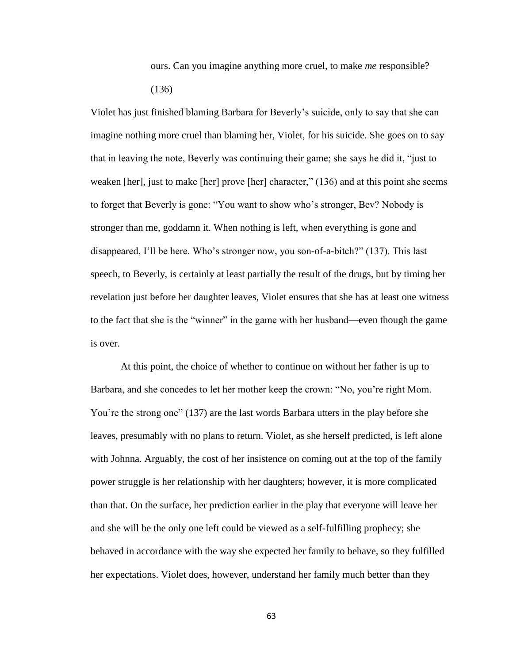ours. Can you imagine anything more cruel, to make *me* responsible? (136)

Violet has just finished blaming Barbara for Beverly's suicide, only to say that she can imagine nothing more cruel than blaming her, Violet, for his suicide. She goes on to say that in leaving the note, Beverly was continuing their game; she says he did it, "just to weaken [her], just to make [her] prove [her] character," (136) and at this point she seems to forget that Beverly is gone: "You want to show who's stronger, Bev? Nobody is stronger than me, goddamn it. When nothing is left, when everything is gone and disappeared, I'll be here. Who's stronger now, you son-of-a-bitch?" (137). This last speech, to Beverly, is certainly at least partially the result of the drugs, but by timing her revelation just before her daughter leaves, Violet ensures that she has at least one witness to the fact that she is the "winner" in the game with her husband—even though the game is over.

At this point, the choice of whether to continue on without her father is up to Barbara, and she concedes to let her mother keep the crown: "No, you're right Mom. You're the strong one" (137) are the last words Barbara utters in the play before she leaves, presumably with no plans to return. Violet, as she herself predicted, is left alone with Johnna. Arguably, the cost of her insistence on coming out at the top of the family power struggle is her relationship with her daughters; however, it is more complicated than that. On the surface, her prediction earlier in the play that everyone will leave her and she will be the only one left could be viewed as a self-fulfilling prophecy; she behaved in accordance with the way she expected her family to behave, so they fulfilled her expectations. Violet does, however, understand her family much better than they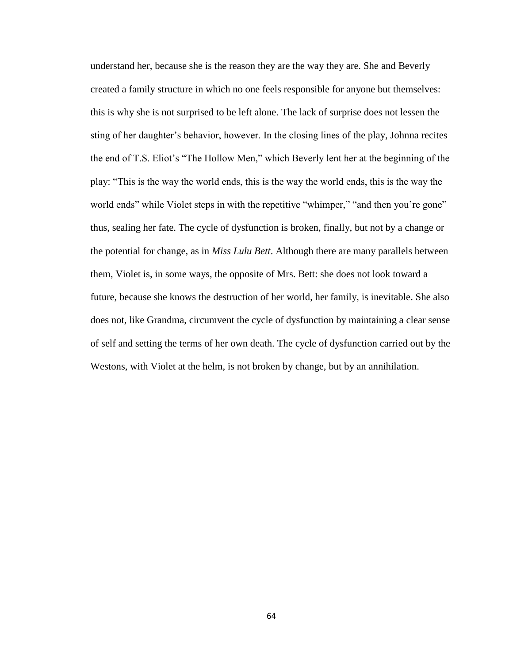understand her, because she is the reason they are the way they are. She and Beverly created a family structure in which no one feels responsible for anyone but themselves: this is why she is not surprised to be left alone. The lack of surprise does not lessen the sting of her daughter's behavior, however. In the closing lines of the play, Johnna recites the end of T.S. Eliot's "The Hollow Men," which Beverly lent her at the beginning of the play: "This is the way the world ends, this is the way the world ends, this is the way the world ends" while Violet steps in with the repetitive "whimper," "and then you're gone" thus, sealing her fate. The cycle of dysfunction is broken, finally, but not by a change or the potential for change, as in *Miss Lulu Bett*. Although there are many parallels between them, Violet is, in some ways, the opposite of Mrs. Bett: she does not look toward a future, because she knows the destruction of her world, her family, is inevitable. She also does not, like Grandma, circumvent the cycle of dysfunction by maintaining a clear sense of self and setting the terms of her own death. The cycle of dysfunction carried out by the Westons, with Violet at the helm, is not broken by change, but by an annihilation.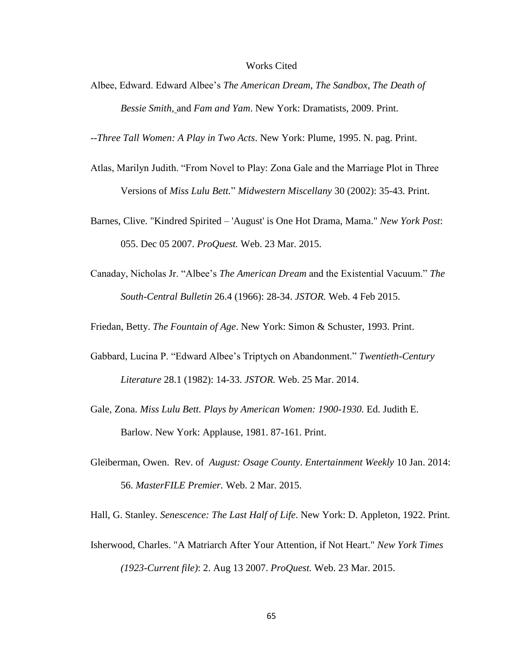#### Works Cited

Albee, Edward. Edward Albee's *The American Dream*, *The Sandbox*, *The Death of Bessie Smith,* and *Fam and Yam*. New York: Dramatists, 2009. Print.

--*Three Tall Women: A Play in Two Acts*. New York: Plume, 1995. N. pag. Print.

- Atlas, Marilyn Judith. "From Novel to Play: Zona Gale and the Marriage Plot in Three Versions of *Miss Lulu Bett.*" *Midwestern Miscellany* 30 (2002): 35-43. Print.
- Barnes, Clive. "Kindred Spirited 'August' is One Hot Drama, Mama." *New York Post*: 055. Dec 05 2007. *ProQuest.* Web. 23 Mar. 2015.
- Canaday, Nicholas Jr. "Albee's *The American Dream* and the Existential Vacuum." *The South-Central Bulletin* 26.4 (1966): 28-34. *JSTOR.* Web. 4 Feb 2015.

Friedan, Betty. *The Fountain of Age*. New York: Simon & Schuster, 1993. Print.

- Gabbard, Lucina P. "Edward Albee's Triptych on Abandonment." *Twentieth-Century Literature* 28.1 (1982): 14-33. *JSTOR.* Web. 25 Mar. 2014.
- Gale, Zona. *Miss Lulu Bett. Plays by American Women: 1900-1930.* Ed. Judith E. Barlow. New York: Applause, 1981. 87-161. Print.
- Gleiberman, Owen. Rev. of *August: Osage County*. *Entertainment Weekly* 10 Jan. 2014: 56. *MasterFILE Premier.* Web. 2 Mar. 2015.

Hall, G. Stanley. *Senescence: The Last Half of Life*. New York: D. Appleton, 1922. Print.

Isherwood, Charles. "A Matriarch After Your Attention, if Not Heart." *New York Times (1923-Current file)*: 2. Aug 13 2007. *ProQuest.* Web. 23 Mar. 2015.